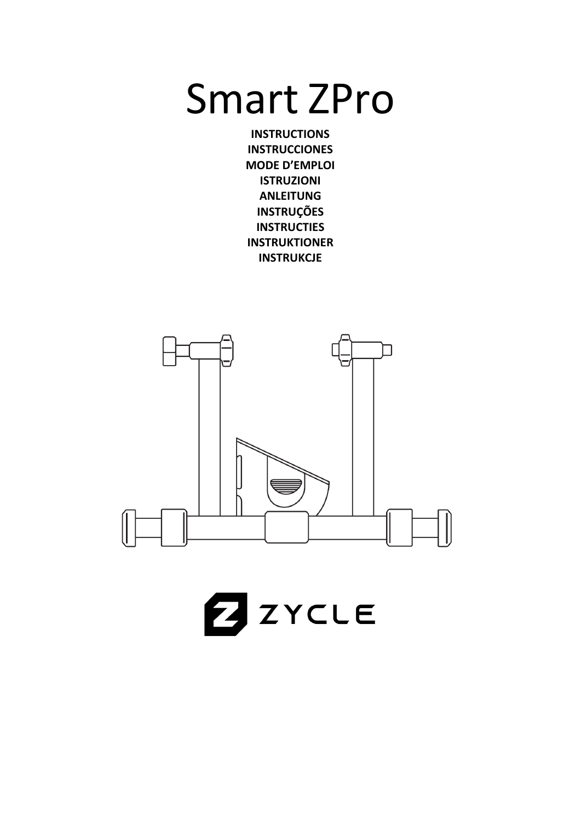# Smart ZPro

**INSTRUCTIONS INSTRUCCIONES MODE D'EMPLOI ISTRUZIONI ANLEITUNG INSTRUÇÕES INSTRUCTIES INSTRUKTIONER INSTRUKCJE**



ZYCLE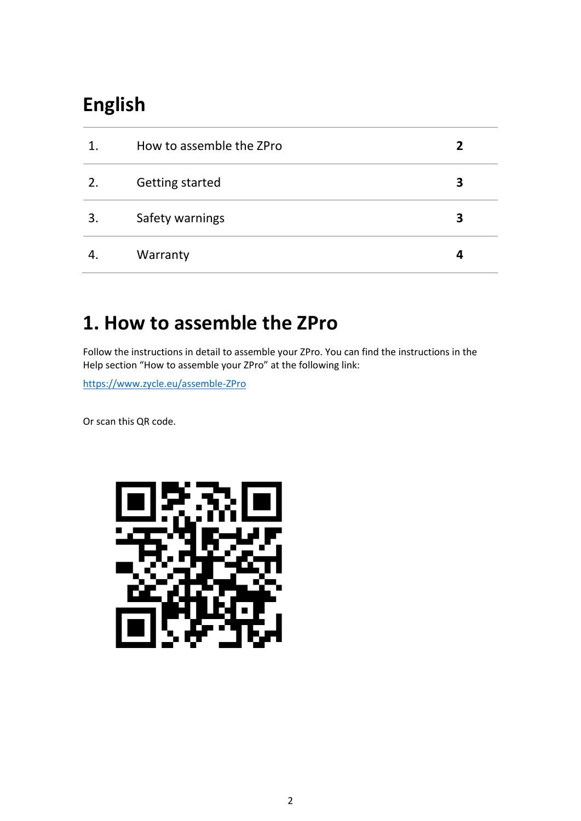# **English**

| 1. | How to assemble the ZPro | 2 |
|----|--------------------------|---|
| 2. | Getting started          | 3 |
| 3. | Safety warnings          | З |
|    | Warranty                 | 4 |

### **1. How to assemble the ZPro**

Follow the instructions in detail to assemble your ZPro. You can find the instructions in the Help section "How to assemble your ZPro" at the following link:

<https://www.zycle.eu/assemble-ZPro>

Or scan this QR code.

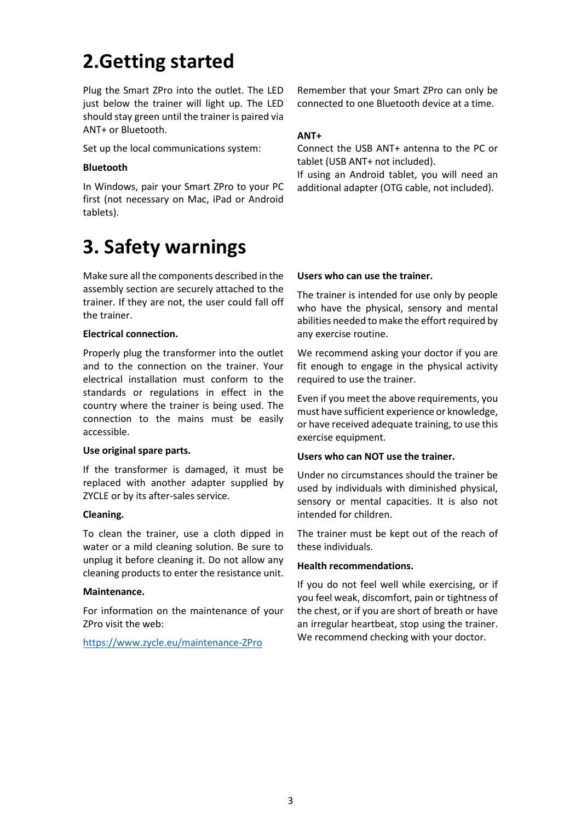### **2.Getting started**

Plug the Smart ZPro into the outlet. The LED just below the trainer will light up. The LED should stay green until the trainer is paired via ANT+ or Bluetooth.

Set up the local communications system:

### **Bluetooth**

In Windows, pair your Smart ZPro to your PC first (not necessary on Mac, iPad or Android tablets).

### **3. Safety warnings**

Make sure all the components described in the assembly section are securely attached to the trainer. If they are not, the user could fall off the trainer.

### **Electrical connection.**

Properly plug the transformer into the outlet and to the connection on the trainer. Your electrical installation must conform to the standards or regulations in effect in the country where the trainer is being used. The connection to the mains must be easily accessible.

### **Use original spare parts.**

If the transformer is damaged, it must be replaced with another adapter supplied by ZYCLE or by its after-sales service.

### **Cleaning.**

To clean the trainer, use a cloth dipped in water or a mild cleaning solution. Be sure to unplug it before cleaning it. Do not allow any cleaning products to enter the resistance unit.

### **Maintenance.**

For information on the maintenance of your ZPro visit the web:

<https://www.zycle.eu/maintenance-ZPro>

Remember that your Smart ZPro can only be connected to one Bluetooth device at a time.

### **ANT+**

Connect the USB ANT+ antenna to the PC or tablet (USB ANT+ not included).

If using an Android tablet, you will need an additional adapter (OTG cable, not included).

#### **Users who can use the trainer.**

The trainer is intended for use only by people who have the physical, sensory and mental abilities needed to make the effort required by any exercise routine.

We recommend asking your doctor if you are fit enough to engage in the physical activity required to use the trainer.

Even if you meet the above requirements, you must have sufficient experience or knowledge, or have received adequate training, to use this exercise equipment.

### **Users who can NOT use the trainer.**

Under no circumstances should the trainer be used by individuals with diminished physical, sensory or mental capacities. It is also not intended for children.

The trainer must be kept out of the reach of these individuals.

### **Health recommendations.**

If you do not feel well while exercising, or if you feel weak, discomfort, pain or tightness of the chest, or if you are short of breath or have an irregular heartbeat, stop using the trainer. We recommend checking with your doctor.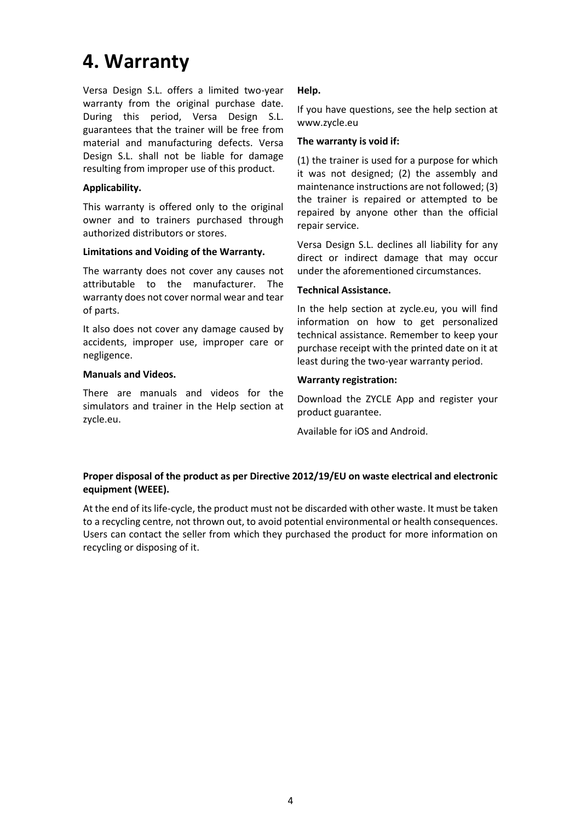### **4. Warranty**

Versa Design S.L. offers a limited two-year warranty from the original purchase date. During this period, Versa Design S.L. guarantees that the trainer will be free from material and manufacturing defects. Versa Design S.L. shall not be liable for damage resulting from improper use of this product.

#### **Applicability.**

This warranty is offered only to the original owner and to trainers purchased through authorized distributors or stores.

#### **Limitations and Voiding of the Warranty.**

The warranty does not cover any causes not attributable to the manufacturer. The warranty does not cover normal wear and tear of parts.

It also does not cover any damage caused by accidents, improper use, improper care or negligence.

#### **Manuals and Videos.**

There are manuals and videos for the simulators and trainer in the Help section at zycle.eu.

### **Help.**

If you have questions, see the help section at www.zycle.eu

#### **The warranty is void if:**

(1) the trainer is used for a purpose for which it was not designed; (2) the assembly and maintenance instructions are not followed; (3) the trainer is repaired or attempted to be repaired by anyone other than the official repair service.

Versa Design S.L. declines all liability for any direct or indirect damage that may occur under the aforementioned circumstances.

#### **Technical Assistance.**

In the help section at zycle.eu, you will find information on how to get personalized technical assistance. Remember to keep your purchase receipt with the printed date on it at least during the two-year warranty period.

#### **Warranty registration:**

Download the ZYCLE App and register your product guarantee.

Available for iOS and Android.

### **Proper disposal of the product as per Directive 2012/19/EU on waste electrical and electronic equipment (WEEE).**

At the end of its life-cycle, the product must not be discarded with other waste. It must be taken to a recycling centre, not thrown out, to avoid potential environmental or health consequences. Users can contact the seller from which they purchased the product for more information on recycling or disposing of it.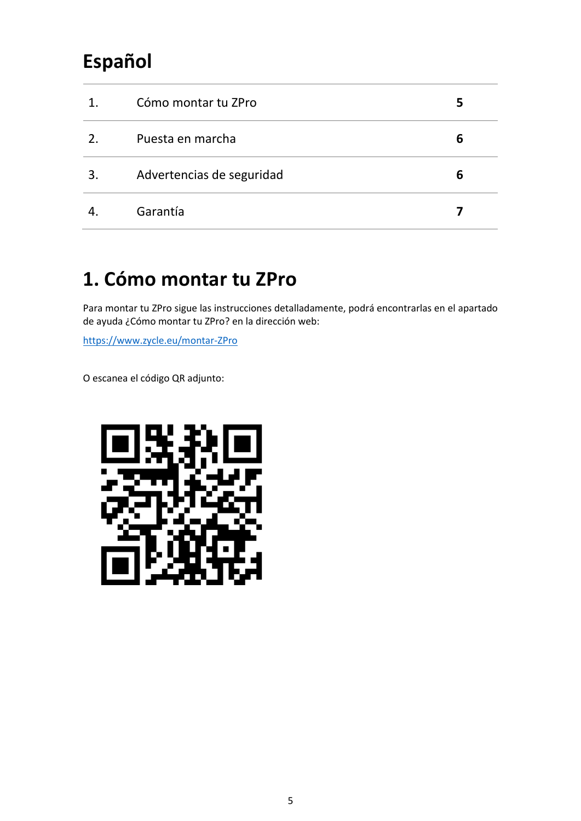# **Español**

| 1. | Cómo montar tu ZPro       | 5 |
|----|---------------------------|---|
| 2. | Puesta en marcha          | 6 |
| 3. | Advertencias de seguridad | 6 |
|    | Garantía                  |   |

### **1. Cómo montar tu ZPro**

Para montar tu ZPro sigue las instrucciones detalladamente, podrá encontrarlas en el apartado de ayuda ¿Cómo montar tu ZPro? en la dirección web:

<https://www.zycle.eu/montar-ZPro>

O escanea el código QR adjunto:

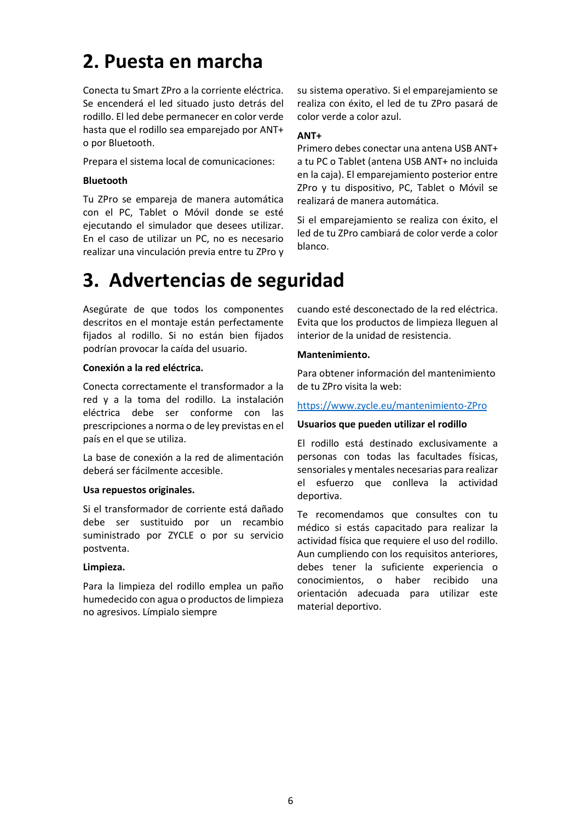### **2. Puesta en marcha**

Conecta tu Smart ZPro a la corriente eléctrica. Se encenderá el led situado justo detrás del rodillo. El led debe permanecer en color verde hasta que el rodillo sea emparejado por ANT+ o por Bluetooth.

Prepara el sistema local de comunicaciones:

#### **Bluetooth**

Tu ZPro se empareja de manera automática con el PC, Tablet o Móvil donde se esté ejecutando el simulador que desees utilizar. En el caso de utilizar un PC, no es necesario realizar una vinculación previa entre tu ZPro y

### **3. Advertencias de seguridad**

Asegúrate de que todos los componentes descritos en el montaje están perfectamente fijados al rodillo. Si no están bien fijados podrían provocar la caída del usuario.

#### **Conexión a la red eléctrica.**

Conecta correctamente el transformador a la red y a la toma del rodillo. La instalación eléctrica debe ser conforme con las prescripciones a norma o de ley previstas en el país en el que se utiliza.

La base de conexión a la red de alimentación deberá ser fácilmente accesible.

#### **Usa repuestos originales.**

Si el transformador de corriente está dañado debe ser sustituido por un recambio suministrado por ZYCLE o por su servicio postventa.

#### **Limpieza.**

Para la limpieza del rodillo emplea un paño humedecido con agua o productos de limpieza no agresivos. Límpialo siempre

su sistema operativo. Si el emparejamiento se realiza con éxito, el led de tu ZPro pasará de color verde a color azul.

### **ANT+**

Primero debes conectar una antena USB ANT+ a tu PC o Tablet (antena USB ANT+ no incluida en la caja). El emparejamiento posterior entre ZPro y tu dispositivo, PC, Tablet o Móvil se realizará de manera automática.

Si el emparejamiento se realiza con éxito, el led de tu ZPro cambiará de color verde a color blanco.

cuando esté desconectado de la red eléctrica. Evita que los productos de limpieza lleguen al interior de la unidad de resistencia.

#### **Mantenimiento.**

Para obtener información del mantenimiento de tu ZPro visita la web:

#### <https://www.zycle.eu/mantenimiento-ZPro>

#### **Usuarios que pueden utilizar el rodillo**

El rodillo está destinado exclusivamente a personas con todas las facultades físicas, sensoriales y mentales necesarias para realizar el esfuerzo que conlleva la actividad deportiva.

Te recomendamos que consultes con tu médico si estás capacitado para realizar la actividad física que requiere el uso del rodillo. Aun cumpliendo con los requisitos anteriores, debes tener la suficiente experiencia o conocimientos, o haber recibido una orientación adecuada para utilizar este material deportivo.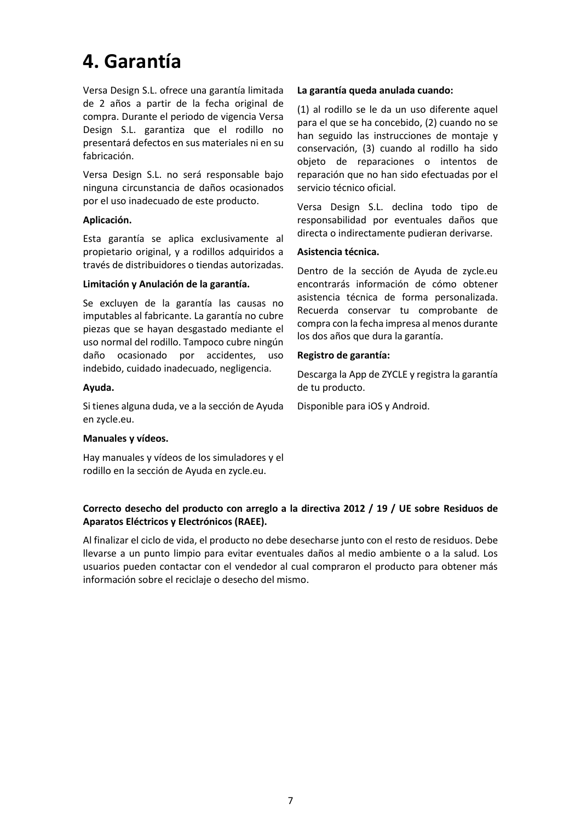### **4. Garantía**

Versa Design S.L. ofrece una garantía limitada de 2 años a partir de la fecha original de compra. Durante el periodo de vigencia Versa Design S.L. garantiza que el rodillo no presentará defectos en sus materiales ni en su fabricación.

Versa Design S.L. no será responsable bajo ninguna circunstancia de daños ocasionados por el uso inadecuado de este producto.

#### **Aplicación.**

Esta garantía se aplica exclusivamente al propietario original, y a rodillos adquiridos a través de distribuidores o tiendas autorizadas.

#### **Limitación y Anulación de la garantía.**

Se excluyen de la garantía las causas no imputables al fabricante. La garantía no cubre piezas que se hayan desgastado mediante el uso normal del rodillo. Tampoco cubre ningún daño ocasionado por accidentes, uso indebido, cuidado inadecuado, negligencia.

#### **Ayuda.**

Si tienes alguna duda, ve a la sección de Ayuda en zycle.eu.

#### **Manuales y vídeos.**

Hay manuales y vídeos de los simuladores y el rodillo en la sección de Ayuda en zycle.eu.

#### **La garantía queda anulada cuando:**

(1) al rodillo se le da un uso diferente aquel para el que se ha concebido, (2) cuando no se han seguido las instrucciones de montaje y conservación, (3) cuando al rodillo ha sido objeto de reparaciones o intentos de reparación que no han sido efectuadas por el servicio técnico oficial.

Versa Design S.L. declina todo tipo de responsabilidad por eventuales daños que directa o indirectamente pudieran derivarse.

#### **Asistencia técnica.**

Dentro de la sección de Ayuda de zycle.eu encontrarás información de cómo obtener asistencia técnica de forma personalizada. Recuerda conservar tu comprobante de compra con la fecha impresa al menos durante los dos años que dura la garantía.

#### **Registro de garantía:**

Descarga la App de ZYCLE y registra la garantía de tu producto.

Disponible para iOS y Android.

### **Correcto desecho del producto con arreglo a la directiva 2012 / 19 / UE sobre Residuos de Aparatos Eléctricos y Electrónicos (RAEE).**

Al finalizar el ciclo de vida, el producto no debe desecharse junto con el resto de residuos. Debe llevarse a un punto limpio para evitar eventuales daños al medio ambiente o a la salud. Los usuarios pueden contactar con el vendedor al cual compraron el producto para obtener más información sobre el reciclaje o desecho del mismo.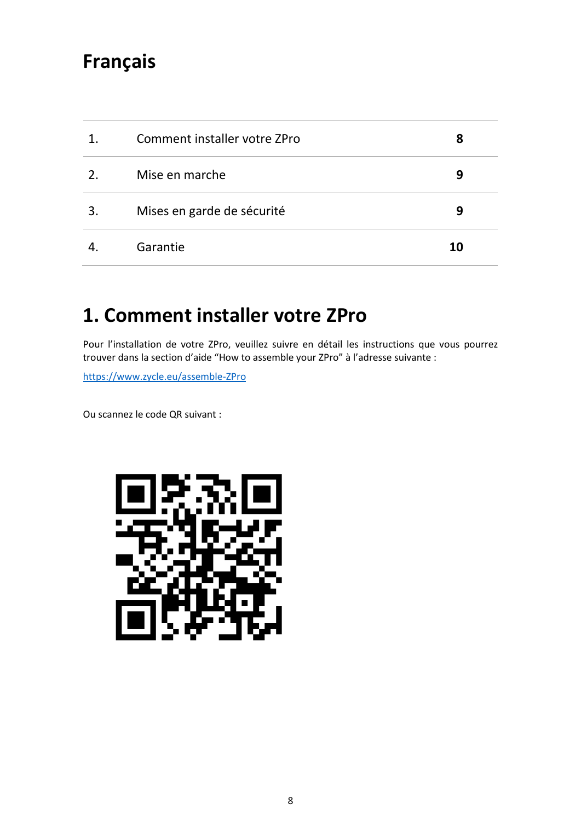### **Français**

| 1.              | Comment installer votre ZPro | 8  |
|-----------------|------------------------------|----|
| $\mathcal{P}_1$ | Mise en marche               | 9  |
| 3.              | Mises en garde de sécurité   | 9  |
|                 | Garantie                     | 10 |

### **1. Comment installer votre ZPro**

Pour l'installation de votre ZPro, veuillez suivre en détail les instructions que vous pourrez trouver dans la section d'aide "How to assemble your ZPro" à l'adresse suivante :

[https://www.zycle.eu/assemble-ZPro](https://www.zycle.eu/assemble-zdrive)

Ou scannez le code QR suivant :

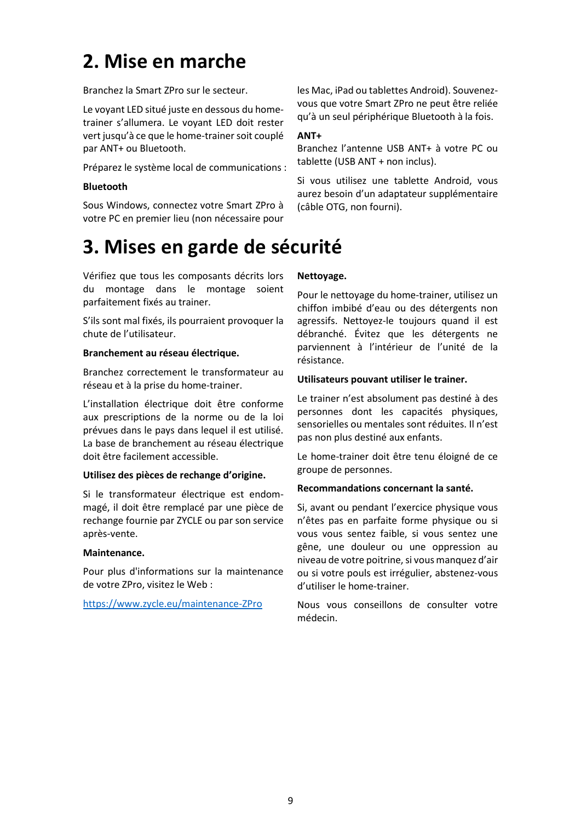### **2. Mise en marche**

Branchez la Smart ZPro sur le secteur.

Le voyant LED situé juste en dessous du hometrainer s'allumera. Le voyant LED doit rester vert jusqu'à ce que le home-trainer soit couplé par ANT+ ou Bluetooth.

Préparez le système local de communications :

#### **Bluetooth**

Sous Windows, connectez votre Smart ZPro à votre PC en premier lieu (non nécessaire pour les Mac, iPad ou tablettes Android). Souvenezvous que votre Smart ZPro ne peut être reliée qu'à un seul périphérique Bluetooth à la fois.

#### **ANT+**

Branchez l'antenne USB ANT+ à votre PC ou tablette (USB ANT + non inclus).

Si vous utilisez une tablette Android, vous aurez besoin d'un adaptateur supplémentaire (câble OTG, non fourni).

### **3. Mises en garde de sécurité**

Vérifiez que tous les composants décrits lors du montage dans le montage soient parfaitement fixés au trainer.

S'ils sont mal fixés, ils pourraient provoquer la chute de l'utilisateur.

#### **Branchement au réseau électrique.**

Branchez correctement le transformateur au réseau et à la prise du home-trainer.

L'installation électrique doit être conforme aux prescriptions de la norme ou de la loi prévues dans le pays dans lequel il est utilisé. La base de branchement au réseau électrique doit être facilement accessible.

#### **Utilisez des pièces de rechange d'origine.**

Si le transformateur électrique est endommagé, il doit être remplacé par une pièce de rechange fournie par ZYCLE ou par son service après-vente.

#### **Maintenance.**

Pour plus d'informations sur la maintenance de votre ZPro, visitez le Web :

[https://www.zycle.eu/maintenance-ZPro](https://www.zycle.eu/maintenance-zdrive)

#### **Nettoyage.**

Pour le nettoyage du home-trainer, utilisez un chiffon imbibé d'eau ou des détergents non agressifs. Nettoyez-le toujours quand il est débranché. Évitez que les détergents ne parviennent à l'intérieur de l'unité de la résistance.

#### **Utilisateurs pouvant utiliser le trainer.**

Le trainer n'est absolument pas destiné à des personnes dont les capacités physiques, sensorielles ou mentales sont réduites. Il n'est pas non plus destiné aux enfants.

Le home-trainer doit être tenu éloigné de ce groupe de personnes.

#### **Recommandations concernant la santé.**

Si, avant ou pendant l'exercice physique vous n'êtes pas en parfaite forme physique ou si vous vous sentez faible, si vous sentez une gêne, une douleur ou une oppression au niveau de votre poitrine, si vous manquez d'air ou si votre pouls est irrégulier, abstenez-vous d'utiliser le home-trainer.

Nous vous conseillons de consulter votre médecin.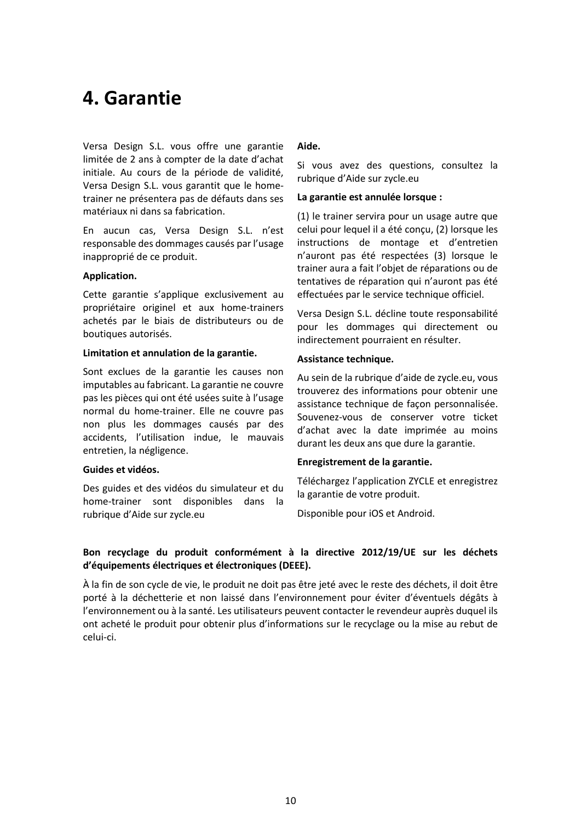### **4. Garantie**

Versa Design S.L. vous offre une garantie limitée de 2 ans à compter de la date d'achat initiale. Au cours de la période de validité, Versa Design S.L. vous garantit que le hometrainer ne présentera pas de défauts dans ses matériaux ni dans sa fabrication.

En aucun cas, Versa Design S.L. n'est responsable des dommages causés par l'usage inapproprié de ce produit.

#### **Application.**

Cette garantie s'applique exclusivement au propriétaire originel et aux home-trainers achetés par le biais de distributeurs ou de boutiques autorisés.

#### **Limitation et annulation de la garantie.**

Sont exclues de la garantie les causes non imputables au fabricant. La garantie ne couvre pas les pièces qui ont été usées suite à l'usage normal du home-trainer. Elle ne couvre pas non plus les dommages causés par des accidents, l'utilisation indue, le mauvais entretien, la négligence.

#### **Guides et vidéos.**

Des guides et des vidéos du simulateur et du home-trainer sont disponibles dans la rubrique d'Aide sur zycle.eu

#### **Aide.**

Si vous avez des questions, consultez la rubrique d'Aide sur zycle.eu

#### **La garantie est annulée lorsque :**

(1) le trainer servira pour un usage autre que celui pour lequel il a été conçu, (2) lorsque les instructions de montage et d'entretien n'auront pas été respectées (3) lorsque le trainer aura a fait l'objet de réparations ou de tentatives de réparation qui n'auront pas été effectuées par le service technique officiel.

Versa Design S.L. décline toute responsabilité pour les dommages qui directement ou indirectement pourraient en résulter.

#### **Assistance technique.**

Au sein de la rubrique d'aide de zycle.eu, vous trouverez des informations pour obtenir une assistance technique de façon personnalisée. Souvenez-vous de conserver votre ticket d'achat avec la date imprimée au moins durant les deux ans que dure la garantie.

#### **Enregistrement de la garantie.**

Téléchargez l'application ZYCLE et enregistrez la garantie de votre produit.

Disponible pour iOS et Android.

### **Bon recyclage du produit conformément à la directive 2012/19/UE sur les déchets d'équipements électriques et électroniques (DEEE).**

À la fin de son cycle de vie, le produit ne doit pas être jeté avec le reste des déchets, il doit être porté à la déchetterie et non laissé dans l'environnement pour éviter d'éventuels dégâts à l'environnement ou à la santé. Les utilisateurs peuvent contacter le revendeur auprès duquel ils ont acheté le produit pour obtenir plus d'informations sur le recyclage ou la mise au rebut de celui-ci.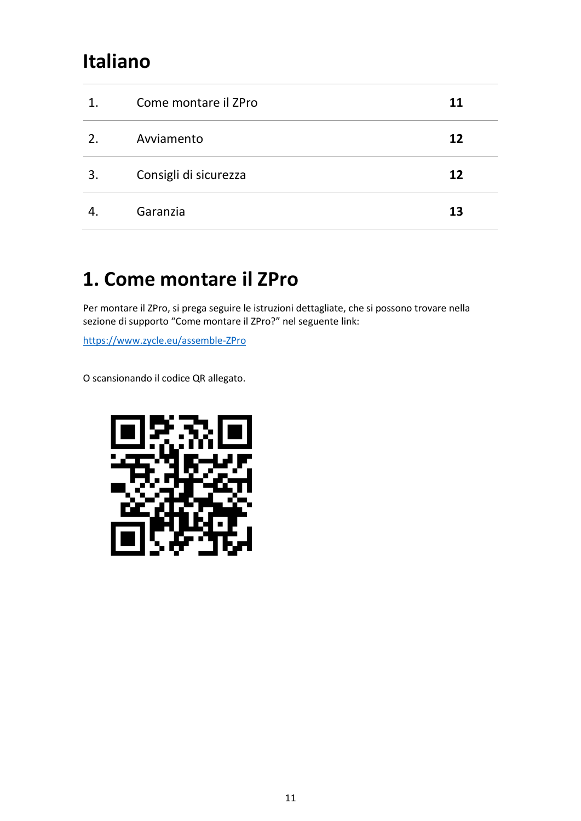### **Italiano**

| 1. | Come montare il ZPro  | 11 |
|----|-----------------------|----|
| 2. | Avviamento            | 12 |
| 3. | Consigli di sicurezza | 12 |
|    | Garanzia              | 13 |

# **1. Come montare il ZPro**

Per montare il ZPro, si prega seguire le istruzioni dettagliate, che si possono trovare nella sezione di supporto "Come montare il ZPro?" nel seguente link:

[https://www.zycle.eu/assemble-ZPro](https://www.zycle.eu/assemble-zdrive)

O scansionando il codice QR allegato.

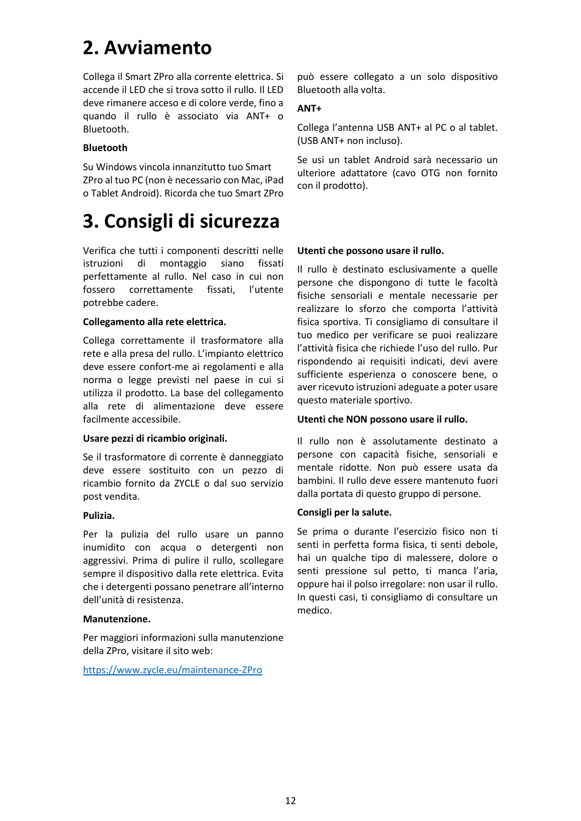# **2. Avviamento**

Collega il Smart ZPro alla corrente elettrica. Si accende il LED che si trova sotto il rullo. Il LED deve rimanere acceso e di colore verde, fino a quando il rullo è associato via ANT+ o Bluetooth.

#### **Bluetooth**

Su Windows vincola innanzitutto tuo Smart ZPro al tuo PC (non è necessario con Mac, iPad o Tablet Android). Ricorda che tuo Smart ZPro

### **3. Consigli di sicurezza**

Verifica che tutti i componenti descritti nelle istruzioni di montaggio siano fissati perfettamente al rullo. Nel caso in cui non fossero correttamente fissati, l'utente potrebbe cadere.

#### **Collegamento alla rete elettrica.**

Collega correttamente il trasformatore alla rete e alla presa del rullo. L'impianto elettrico deve essere confort-me ai regolamenti e alla norma o legge previsti nel paese in cui si utilizza il prodotto. La base del collegamento alla rete di alimentazione deve essere facilmente accessibile.

#### **Usare pezzi di ricambio originali.**

Se il trasformatore di corrente è danneggiato deve essere sostituito con un pezzo di ricambio fornito da ZYCLE o dal suo servizio post vendita.

#### **Pulizia.**

Per la pulizia del rullo usare un panno inumidito con acqua o detergenti non aggressivi. Prima di pulire il rullo, scollegare sempre il dispositivo dalla rete elettrica. Evita che i detergenti possano penetrare all'interno dell'unità di resistenza.

#### **Manutenzione.**

Per maggiori informazioni sulla manutenzione della ZPro, visitare il sito web:

[https://www.zycle.eu/maintenance-ZPro](https://www.zycle.eu/maintenance-zdrive)

può essere collegato a un solo dispositivo Bluetooth alla volta.

#### **ANT+**

Collega l'antenna USB ANT+ al PC o al tablet. (USB ANT+ non incluso).

Se usi un tablet Android sarà necessario un ulteriore adattatore (cavo OTG non fornito con il prodotto).

#### **Utenti che possono usare il rullo.**

Il rullo è destinato esclusivamente a quelle persone che dispongono di tutte le facoltà fisiche sensoriali e mentale necessarie per realizzare lo sforzo che comporta l'attività fisica sportiva. Ti consigliamo di consultare il tuo medico per verificare se puoi realizzare l'attività fisica che richiede l'uso del rullo. Pur rispondendo ai requisiti indicati, devi avere sufficiente esperienza o conoscere bene, o aver ricevuto istruzioni adeguate a poter usare questo materiale sportivo.

#### **Utenti che NON possono usare il rullo.**

Il rullo non è assolutamente destinato a persone con capacità fisiche, sensoriali e mentale ridotte. Non può essere usata da bambini. Il rullo deve essere mantenuto fuori dalla portata di questo gruppo di persone.

#### **Consigli per la salute.**

Se prima o durante l'esercizio fisico non ti senti in perfetta forma fisica, ti senti debole, hai un qualche tipo di malessere, dolore o senti pressione sul petto, ti manca l'aria, oppure hai il polso irregolare: non usar il rullo. In questi casi, ti consigliamo di consultare un medico.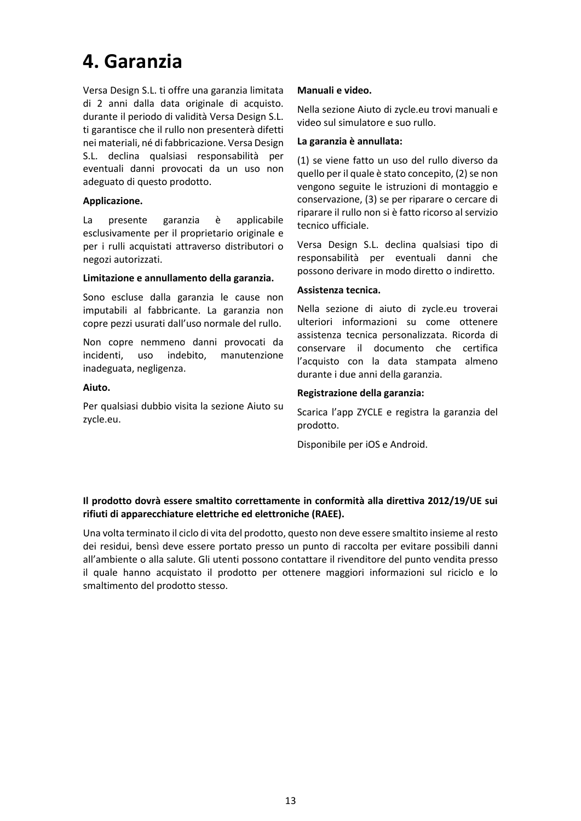### **4. Garanzia**

Versa Design S.L. ti offre una garanzia limitata di 2 anni dalla data originale di acquisto. durante il periodo di validità Versa Design S.L. ti garantisce che il rullo non presenterà difetti nei materiali, né di fabbricazione. Versa Design S.L. declina qualsiasi responsabilità per eventuali danni provocati da un uso non adeguato di questo prodotto.

#### **Applicazione.**

La presente garanzia è applicabile esclusivamente per il proprietario originale e per i rulli acquistati attraverso distributori o negozi autorizzati.

#### **Limitazione e annullamento della garanzia.**

Sono escluse dalla garanzia le cause non imputabili al fabbricante. La garanzia non copre pezzi usurati dall'uso normale del rullo.

Non copre nemmeno danni provocati da incidenti, uso indebito, manutenzione inadeguata, negligenza.

#### **Aiuto.**

Per qualsiasi dubbio visita la sezione Aiuto su zycle.eu.

#### **Manuali e video.**

Nella sezione Aiuto di zycle.eu trovi manuali e video sul simulatore e suo rullo.

#### **La garanzia è annullata:**

(1) se viene fatto un uso del rullo diverso da quello per il quale è stato concepito, (2) se non vengono seguite le istruzioni di montaggio e conservazione, (3) se per riparare o cercare di riparare il rullo non si è fatto ricorso al servizio tecnico ufficiale.

Versa Design S.L. declina qualsiasi tipo di responsabilità per eventuali danni che possono derivare in modo diretto o indiretto.

#### **Assistenza tecnica.**

Nella sezione di aiuto di zycle.eu troverai ulteriori informazioni su come ottenere assistenza tecnica personalizzata. Ricorda di conservare il documento che certifica l'acquisto con la data stampata almeno durante i due anni della garanzia.

#### **Registrazione della garanzia:**

Scarica l'app ZYCLE e registra la garanzia del prodotto.

Disponibile per iOS e Android.

#### **Il prodotto dovrà essere smaltito correttamente in conformità alla direttiva 2012/19/UE sui rifiuti di apparecchiature elettriche ed elettroniche (RAEE).**

Una volta terminato il ciclo di vita del prodotto, questo non deve essere smaltito insieme al resto dei residui, bensì deve essere portato presso un punto di raccolta per evitare possibili danni all'ambiente o alla salute. Gli utenti possono contattare il rivenditore del punto vendita presso il quale hanno acquistato il prodotto per ottenere maggiori informazioni sul riciclo e lo smaltimento del prodotto stesso.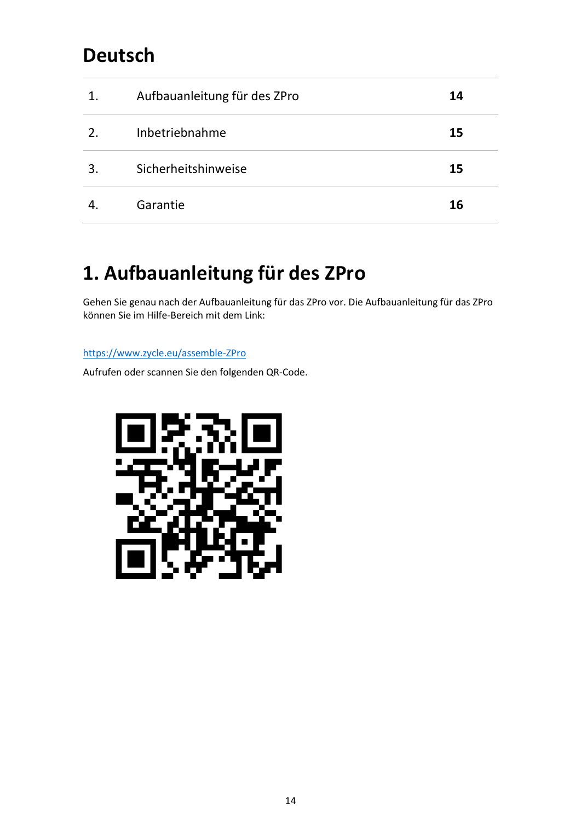### **Deutsch**

| 1. | Aufbauanleitung für des ZPro | 14 |
|----|------------------------------|----|
| 2. | Inbetriebnahme               | 15 |
| 3  | Sicherheitshinweise          | 15 |
|    | Garantie                     | 16 |

### **1. Aufbauanleitung für des ZPro**

Gehen Sie genau nach der Aufbauanleitung für das ZPro vor. Die Aufbauanleitung für das ZPro können Sie im Hilfe-Bereich mit dem Link:

[https://www.zycle.eu/assemble-ZPro](https://www.zycle.eu/assemble-zdrive)

Aufrufen oder scannen Sie den folgenden QR-Code.

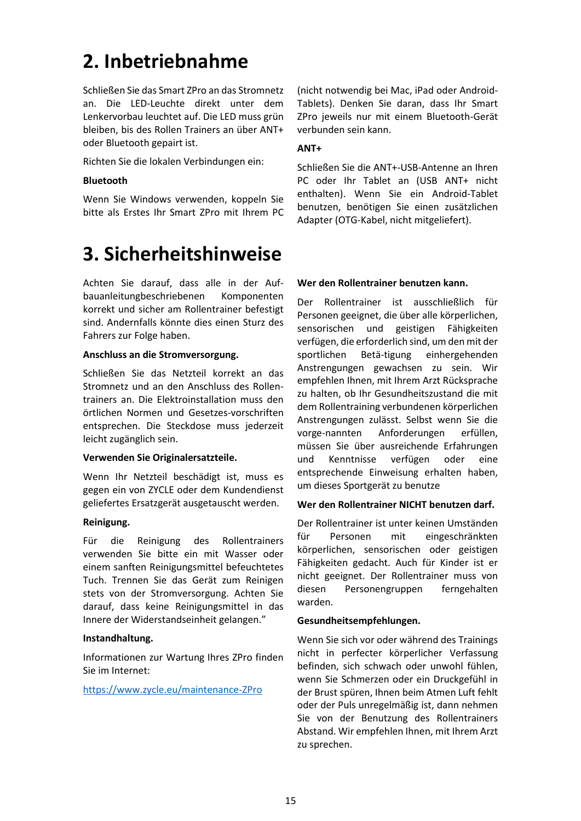### **2. Inbetriebnahme**

Schließen Sie das Smart ZPro an das Stromnetz an. Die LED-Leuchte direkt unter dem Lenkervorbau leuchtet auf. Die LED muss grün bleiben, bis des Rollen Trainers an über ANT+ oder Bluetooth gepairt ist.

Richten Sie die lokalen Verbindungen ein:

#### **Bluetooth**

Wenn Sie Windows verwenden, koppeln Sie bitte als Erstes Ihr Smart ZPro mit Ihrem PC

### **3. Sicherheitshinweise**

Achten Sie darauf, dass alle in der Aufbauanleitungbeschriebenen Komponenten korrekt und sicher am Rollentrainer befestigt sind. Andernfalls könnte dies einen Sturz des Fahrers zur Folge haben.

#### **Anschluss an die Stromversorgung.**

Schließen Sie das Netzteil korrekt an das Stromnetz und an den Anschluss des Rollentrainers an. Die Elektroinstallation muss den örtlichen Normen und Gesetzes-vorschriften entsprechen. Die Steckdose muss jederzeit leicht zugänglich sein.

#### **Verwenden Sie Originalersatzteile.**

Wenn Ihr Netzteil beschädigt ist, muss es gegen ein von ZYCLE oder dem Kundendienst geliefertes Ersatzgerät ausgetauscht werden.

#### **Reinigung.**

Für die Reinigung des Rollentrainers verwenden Sie bitte ein mit Wasser oder einem sanften Reinigungsmittel befeuchtetes Tuch. Trennen Sie das Gerät zum Reinigen stets von der Stromversorgung. Achten Sie darauf, dass keine Reinigungsmittel in das Innere der Widerstandseinheit gelangen."

#### **Instandhaltung.**

Informationen zur Wartung Ihres ZPro finden Sie im Internet:

#### [https://www.zycle.eu/maintenance-ZPro](https://www.zycle.eu/maintenance-zdrive)

(nicht notwendig bei Mac, iPad oder Android-Tablets). Denken Sie daran, dass Ihr Smart ZPro jeweils nur mit einem Bluetooth-Gerät verbunden sein kann.

#### **ANT+**

Schließen Sie die ANT+-USB-Antenne an Ihren PC oder Ihr Tablet an (USB ANT+ nicht enthalten). Wenn Sie ein Android-Tablet benutzen, benötigen Sie einen zusätzlichen Adapter (OTG-Kabel, nicht mitgeliefert).

#### **Wer den Rollentrainer benutzen kann.**

Der Rollentrainer ist ausschließlich für Personen geeignet, die über alle körperlichen, sensorischen und geistigen Fähigkeiten verfügen, die erforderlich sind, um den mit der sportlichen Betä-tigung einhergehenden Anstrengungen gewachsen zu sein. Wir empfehlen Ihnen, mit Ihrem Arzt Rücksprache zu halten, ob Ihr Gesundheitszustand die mit dem Rollentraining verbundenen körperlichen Anstrengungen zulässt. Selbst wenn Sie die vorge-nannten Anforderungen erfüllen, müssen Sie über ausreichende Erfahrungen und Kenntnisse verfügen oder eine entsprechende Einweisung erhalten haben, um dieses Sportgerät zu benutze

#### **Wer den Rollentrainer NICHT benutzen darf.**

Der Rollentrainer ist unter keinen Umständen für Personen mit eingeschränkten körperlichen, sensorischen oder geistigen Fähigkeiten gedacht. Auch für Kinder ist er nicht geeignet. Der Rollentrainer muss von diesen Personengruppen ferngehalten warden.

#### **Gesundheitsempfehlungen.**

Wenn Sie sich vor oder während des Trainings nicht in perfecter körperlicher Verfassung befinden, sich schwach oder unwohl fühlen, wenn Sie Schmerzen oder ein Druckgefühl in der Brust spüren, Ihnen beim Atmen Luft fehlt oder der Puls unregelmäßig ist, dann nehmen Sie von der Benutzung des Rollentrainers Abstand. Wir empfehlen Ihnen, mit Ihrem Arzt zu sprechen.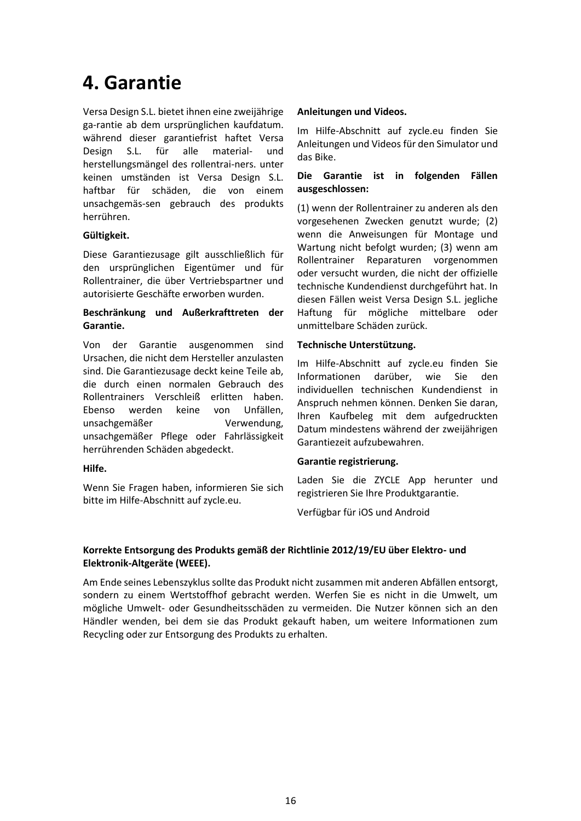### **4. Garantie**

Versa Design S.L. bietet ihnen eine zweijährige ga-rantie ab dem ursprünglichen kaufdatum. während dieser garantiefrist haftet Versa Design S.L. für alle material- und herstellungsmängel des rollentrai-ners. unter keinen umständen ist Versa Design S.L. haftbar für schäden, die von einem unsachgemäs-sen gebrauch des produkts herrühren.

#### **Gültigkeit.**

Diese Garantiezusage gilt ausschließlich für den ursprünglichen Eigentümer und für Rollentrainer, die über Vertriebspartner und autorisierte Geschäfte erworben wurden.

#### **Beschränkung und Außerkrafttreten der Garantie.**

Von der Garantie ausgenommen sind Ursachen, die nicht dem Hersteller anzulasten sind. Die Garantiezusage deckt keine Teile ab, die durch einen normalen Gebrauch des Rollentrainers Verschleiß erlitten haben. Ebenso werden keine von Unfällen, unsachgemäßer Verwendung, unsachgemäßer Pflege oder Fahrlässigkeit herrührenden Schäden abgedeckt.

#### **Hilfe.**

Wenn Sie Fragen haben, informieren Sie sich bitte im Hilfe-Abschnitt auf zycle.eu.

#### **Anleitungen und Videos.**

Im Hilfe-Abschnitt auf zycle.eu finden Sie Anleitungen und Videos für den Simulator und das Bike.

#### **Die Garantie ist in folgenden Fällen ausgeschlossen:**

(1) wenn der Rollentrainer zu anderen als den vorgesehenen Zwecken genutzt wurde; (2) wenn die Anweisungen für Montage und Wartung nicht befolgt wurden; (3) wenn am Rollentrainer Reparaturen vorgenommen oder versucht wurden, die nicht der offizielle technische Kundendienst durchgeführt hat. In diesen Fällen weist Versa Design S.L. jegliche Haftung für mögliche mittelbare oder unmittelbare Schäden zurück.

### **Technische Unterstützung.**

Im Hilfe-Abschnitt auf zycle.eu finden Sie Informationen darüber, wie Sie den individuellen technischen Kundendienst in Anspruch nehmen können. Denken Sie daran, Ihren Kaufbeleg mit dem aufgedruckten Datum mindestens während der zweijährigen Garantiezeit aufzubewahren.

#### **Garantie registrierung.**

Laden Sie die ZYCLE App herunter und registrieren Sie Ihre Produktgarantie.

Verfügbar für iOS und Android

### **Korrekte Entsorgung des Produkts gemäß der Richtlinie 2012/19/EU über Elektro- und Elektronik-Altgeräte (WEEE).**

Am Ende seines Lebenszyklus sollte das Produkt nicht zusammen mit anderen Abfällen entsorgt, sondern zu einem Wertstoffhof gebracht werden. Werfen Sie es nicht in die Umwelt, um mögliche Umwelt- oder Gesundheitsschäden zu vermeiden. Die Nutzer können sich an den Händler wenden, bei dem sie das Produkt gekauft haben, um weitere Informationen zum Recycling oder zur Entsorgung des Produkts zu erhalten.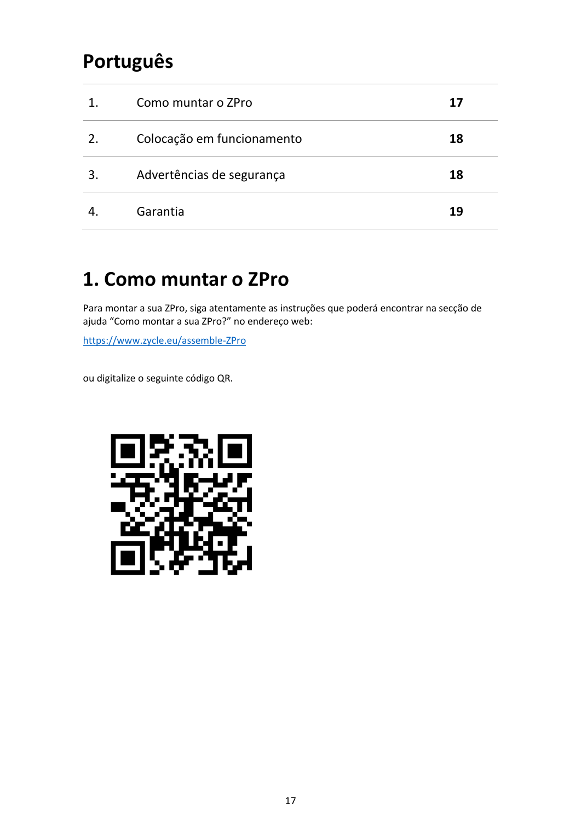### **Português**

| 1. | Como muntar o ZPro         | 17 |
|----|----------------------------|----|
| 2. | Colocação em funcionamento | 18 |
| 3. | Advertências de segurança  | 18 |
|    | Garantia                   | 19 |

### **1. Como muntar o ZPro**

Para montar a sua ZPro, siga atentamente as instruções que poderá encontrar na secção de ajuda "Como montar a sua ZPro?" no endereço web:

[https://www.zycle.eu/assemble-ZPro](https://www.zycle.eu/assemble-zdrive)

ou digitalize o seguinte código QR.

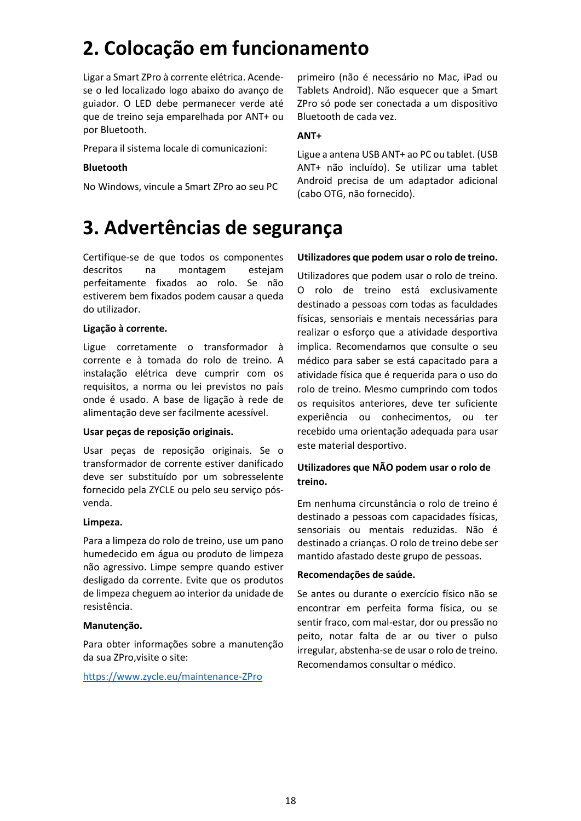# **2. Colocação em funcionamento**

Ligar a Smart ZPro à corrente elétrica. Acendese o led localizado logo abaixo do avanço de guiador. O LED debe permanecer verde até que de treino seja emparelhada por ANT+ ou por Bluetooth.

Prepara il sistema locale di comunicazioni:

### **Bluetooth**

No Windows, vincule a Smart ZPro ao seu PC

primeiro (não é necessário no Mac, iPad ou Tablets Android). Não esquecer que a Smart ZPro só pode ser conectada a um dispositivo Bluetooth de cada vez.

#### **ANT+**

Ligue a antena USB ANT+ ao PC ou tablet. (USB ANT+ não incluído). Se utilizar uma tablet Android precisa de um adaptador adicional (cabo OTG, não fornecido).

### **3. Advertências de segurança**

Certifique-se de que todos os componentes descritos na montagem estejam perfeitamente fixados ao rolo. Se não estiverem bem fixados podem causar a queda do utilizador.

#### **Ligação à corrente.**

Ligue corretamente o transformador à corrente e à tomada do rolo de treino. A instalação elétrica deve cumprir com os requisitos, a norma ou lei previstos no país onde é usado. A base de ligação à rede de alimentação deve ser facilmente acessível.

#### **Usar peças de reposição originais.**

Usar peças de reposição originais. Se o transformador de corrente estiver danificado deve ser substituído por um sobresselente fornecido pela ZYCLE ou pelo seu serviço pósvenda.

#### **Limpeza.**

Para a limpeza do rolo de treino, use um pano humedecido em água ou produto de limpeza não agressivo. Limpe sempre quando estiver desligado da corrente. Evite que os produtos de limpeza cheguem ao interior da unidade de resistência.

### **Manutenção.**

Para obter informações sobre a manutenção da sua ZPro,visite o site:

[https://www.zycle.eu/maintenance-ZPro](https://www.zycle.eu/maintenance-zdrive)

#### **Utilizadores que podem usar o rolo de treino.**

Utilizadores que podem usar o rolo de treino. O rolo de treino está exclusivamente destinado a pessoas com todas as faculdades físicas, sensoriais e mentais necessárias para realizar o esforço que a atividade desportiva implica. Recomendamos que consulte o seu médico para saber se está capacitado para a atividade física que é requerida para o uso do rolo de treino. Mesmo cumprindo com todos os requisitos anteriores, deve ter suficiente experiência ou conhecimentos, ou ter recebido uma orientação adequada para usar este material desportivo.

### **Utilizadores que NÃO podem usar o rolo de treino.**

Em nenhuma circunstância o rolo de treino é destinado a pessoas com capacidades físicas, sensoriais ou mentais reduzidas. Não é destinado a crianças. O rolo de treino debe ser mantido afastado deste grupo de pessoas.

#### **Recomendações de saúde.**

Se antes ou durante o exercício físico não se encontrar em perfeita forma física, ou se sentir fraco, com mal-estar, dor ou pressão no peito, notar falta de ar ou tiver o pulso irregular, abstenha-se de usar o rolo de treino. Recomendamos consultar o médico.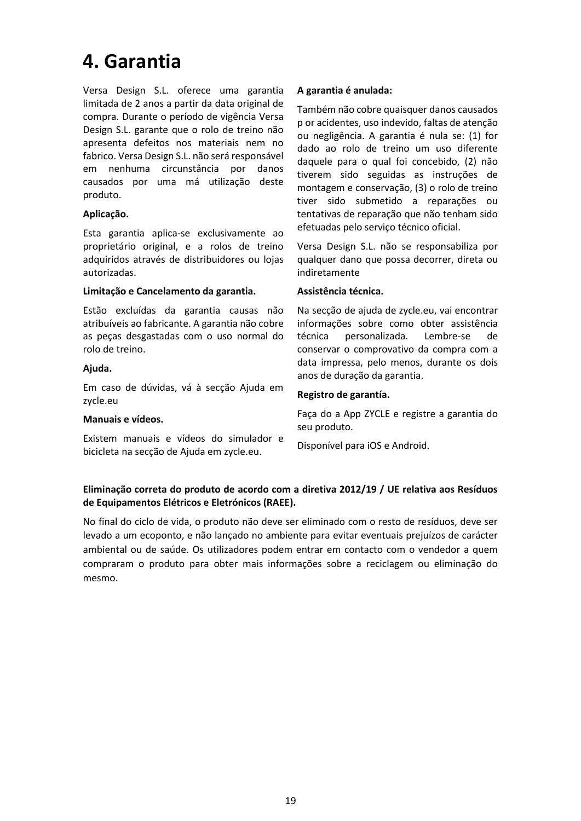### **4. Garantia**

Versa Design S.L. oferece uma garantia limitada de 2 anos a partir da data original de compra. Durante o período de vigência Versa Design S.L. garante que o rolo de treino não apresenta defeitos nos materiais nem no fabrico. Versa Design S.L. não será responsável em nenhuma circunstância por danos causados por uma má utilização deste produto.

#### **Aplicação.**

Esta garantia aplica-se exclusivamente ao proprietário original, e a rolos de treino adquiridos através de distribuidores ou lojas autorizadas.

#### **Limitação e Cancelamento da garantia.**

Estão excluídas da garantia causas não atribuíveis ao fabricante. A garantia não cobre as peças desgastadas com o uso normal do rolo de treino.

#### **Ajuda.**

Em caso de dúvidas, vá à secção Ajuda em zycle.eu

#### **Manuais e vídeos.**

Existem manuais e vídeos do simulador e bicicleta na secção de Ajuda em zycle.eu.

#### **A garantia é anulada:**

Também não cobre quaisquer danos causados p or acidentes, uso indevido, faltas de atenção ou negligência. A garantia é nula se: (1) for dado ao rolo de treino um uso diferente daquele para o qual foi concebido, (2) não tiverem sido seguidas as instruções de montagem e conservação, (3) o rolo de treino tiver sido submetido a reparações ou tentativas de reparação que não tenham sido efetuadas pelo serviço técnico oficial.

Versa Design S.L. não se responsabiliza por qualquer dano que possa decorrer, direta ou indiretamente

#### **Assistência técnica.**

Na secção de ajuda de zycle.eu, vai encontrar informações sobre como obter assistência técnica personalizada. Lembre-se de conservar o comprovativo da compra com a data impressa, pelo menos, durante os dois anos de duração da garantia.

#### **Registro de garantía.**

Faça do a App ZYCLE e registre a garantia do seu produto.

Disponível para iOS e Android.

#### **Eliminação correta do produto de acordo com a diretiva 2012/19 / UE relativa aos Resíduos de Equipamentos Elétricos e Eletrónicos (RAEE).**

No final do ciclo de vida, o produto não deve ser eliminado com o resto de resíduos, deve ser levado a um ecoponto, e não lançado no ambiente para evitar eventuais prejuízos de carácter ambiental ou de saúde. Os utilizadores podem entrar em contacto com o vendedor a quem compraram o produto para obter mais informações sobre a reciclagem ou eliminação do mesmo.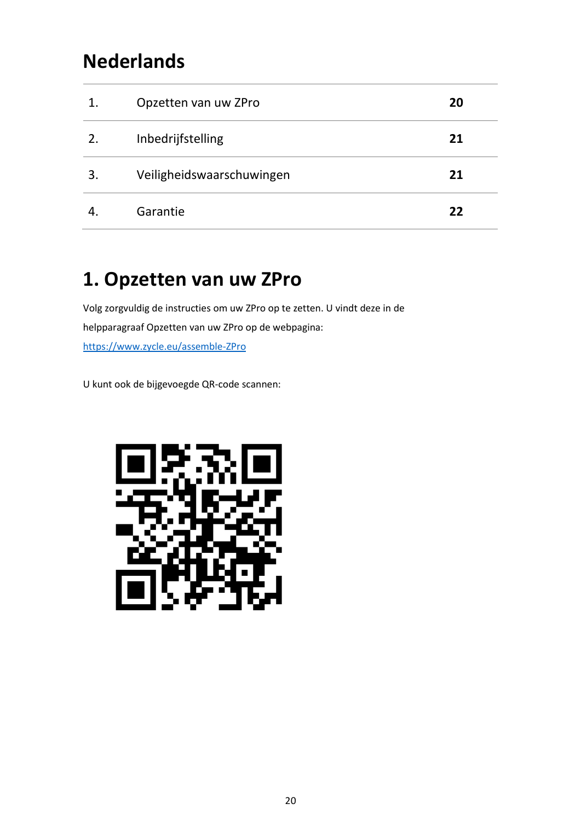### **Nederlands**

| 1. | Opzetten van uw ZPro      | 20 |
|----|---------------------------|----|
| 2. | Inbedrijfstelling         | 21 |
| 3. | Veiligheidswaarschuwingen | 21 |
|    | Garantie                  | 22 |

# **1. Opzetten van uw ZPro**

Volg zorgvuldig de instructies om uw ZPro op te zetten. U vindt deze in de helpparagraaf Opzetten van uw ZPro op de webpagina: [https://www.zycle.eu/assemble-ZPro](https://www.zycle.eu/assemble-zdrive)

U kunt ook de bijgevoegde QR-code scannen:

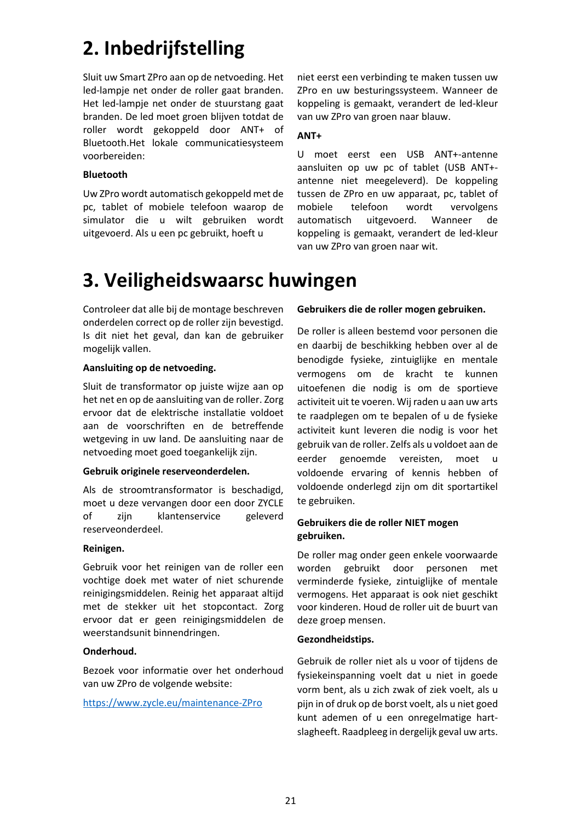# **2. Inbedrijfstelling**

Sluit uw Smart ZPro aan op de netvoeding. Het led-lampje net onder de roller gaat branden. Het led-lampje net onder de stuurstang gaat branden. De led moet groen blijven totdat de roller wordt gekoppeld door ANT+ of Bluetooth.Het lokale communicatiesysteem voorbereiden:

#### **Bluetooth**

Uw ZPro wordt automatisch gekoppeld met de pc, tablet of mobiele telefoon waarop de simulator die u wilt gebruiken wordt uitgevoerd. Als u een pc gebruikt, hoeft u

niet eerst een verbinding te maken tussen uw ZPro en uw besturingssysteem. Wanneer de koppeling is gemaakt, verandert de led-kleur van uw ZPro van groen naar blauw.

### **ANT+**

U moet eerst een USB ANT+-antenne aansluiten op uw pc of tablet (USB ANT+ antenne niet meegeleverd). De koppeling tussen de ZPro en uw apparaat, pc, tablet of mobiele telefoon wordt vervolgens automatisch uitgevoerd. Wanneer de koppeling is gemaakt, verandert de led-kleur van uw ZPro van groen naar wit.

### **3. Veiligheidswaarsc huwingen**

Controleer dat alle bij de montage beschreven onderdelen correct op de roller zijn bevestigd. Is dit niet het geval, dan kan de gebruiker mogelijk vallen.

#### **Aansluiting op de netvoeding.**

Sluit de transformator op juiste wijze aan op het net en op de aansluiting van de roller. Zorg ervoor dat de elektrische installatie voldoet aan de voorschriften en de betreffende wetgeving in uw land. De aansluiting naar de netvoeding moet goed toegankelijk zijn.

#### **Gebruik originele reserveonderdelen.**

Als de stroomtransformator is beschadigd, moet u deze vervangen door een door ZYCLE of zijn klantenservice geleverd reserveonderdeel.

#### **Reinigen.**

Gebruik voor het reinigen van de roller een vochtige doek met water of niet schurende reinigingsmiddelen. Reinig het apparaat altijd met de stekker uit het stopcontact. Zorg ervoor dat er geen reinigingsmiddelen de weerstandsunit binnendringen.

### **Onderhoud.**

Bezoek voor informatie over het onderhoud van uw ZPro de volgende website:

<https://www.zycle.eu/maintenance-ZPro>

#### **Gebruikers die de roller mogen gebruiken.**

De roller is alleen bestemd voor personen die en daarbij de beschikking hebben over al de benodigde fysieke, zintuiglijke en mentale vermogens om de kracht te kunnen uitoefenen die nodig is om de sportieve activiteit uit te voeren. Wij raden u aan uw arts te raadplegen om te bepalen of u de fysieke activiteit kunt leveren die nodig is voor het gebruik van de roller. Zelfs als u voldoet aan de eerder genoemde vereisten, moet u voldoende ervaring of kennis hebben of voldoende onderlegd zijn om dit sportartikel te gebruiken.

### **Gebruikers die de roller NIET mogen gebruiken.**

De roller mag onder geen enkele voorwaarde worden gebruikt door personen met verminderde fysieke, zintuiglijke of mentale vermogens. Het apparaat is ook niet geschikt voor kinderen. Houd de roller uit de buurt van deze groep mensen.

#### **Gezondheidstips.**

Gebruik de roller niet als u voor of tijdens de fysiekeinspanning voelt dat u niet in goede vorm bent, als u zich zwak of ziek voelt, als u pijn in of druk op de borst voelt, als u niet goed kunt ademen of u een onregelmatige hartslagheeft. Raadpleeg in dergelijk geval uw arts.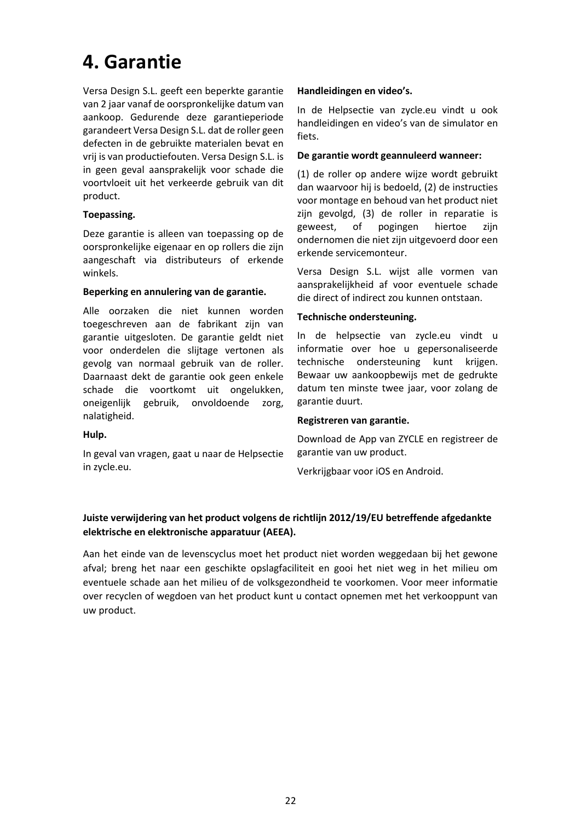### **4. Garantie**

Versa Design S.L. geeft een beperkte garantie van 2 jaar vanaf de oorspronkelijke datum van aankoop. Gedurende deze garantieperiode garandeert Versa Design S.L. dat de roller geen defecten in de gebruikte materialen bevat en vrij is van productiefouten. Versa Design S.L. is in geen geval aansprakelijk voor schade die voortvloeit uit het verkeerde gebruik van dit product.

#### **Toepassing.**

Deze garantie is alleen van toepassing op de oorspronkelijke eigenaar en op rollers die zijn aangeschaft via distributeurs of erkende winkels.

#### **Beperking en annulering van de garantie.**

Alle oorzaken die niet kunnen worden toegeschreven aan de fabrikant zijn van garantie uitgesloten. De garantie geldt niet voor onderdelen die slijtage vertonen als gevolg van normaal gebruik van de roller. Daarnaast dekt de garantie ook geen enkele schade die voortkomt uit ongelukken, oneigenlijk gebruik, onvoldoende zorg, nalatigheid.

### **Hulp.**

In geval van vragen, gaat u naar de Helpsectie in zycle.eu.

### **Handleidingen en video's.**

In de Helpsectie van zycle.eu vindt u ook handleidingen en video's van de simulator en fiets.

#### **De garantie wordt geannuleerd wanneer:**

(1) de roller op andere wijze wordt gebruikt dan waarvoor hij is bedoeld, (2) de instructies voor montage en behoud van het product niet zijn gevolgd, (3) de roller in reparatie is geweest, of pogingen hiertoe zijn ondernomen die niet zijn uitgevoerd door een erkende servicemonteur.

Versa Design S.L. wijst alle vormen van aansprakelijkheid af voor eventuele schade die direct of indirect zou kunnen ontstaan.

#### **Technische ondersteuning.**

In de helpsectie van zycle.eu vindt u informatie over hoe u gepersonaliseerde technische ondersteuning kunt krijgen. Bewaar uw aankoopbewijs met de gedrukte datum ten minste twee jaar, voor zolang de garantie duurt.

### **Registreren van garantie.**

Download de App van ZYCLE en registreer de garantie van uw product.

Verkrijgbaar voor iOS en Android.

### **Juiste verwijdering van het product volgens de richtlijn 2012/19/EU betreffende afgedankte elektrische en elektronische apparatuur (AEEA).**

Aan het einde van de levenscyclus moet het product niet worden weggedaan bij het gewone afval; breng het naar een geschikte opslagfaciliteit en gooi het niet weg in het milieu om eventuele schade aan het milieu of de volksgezondheid te voorkomen. Voor meer informatie over recyclen of wegdoen van het product kunt u contact opnemen met het verkooppunt van uw product.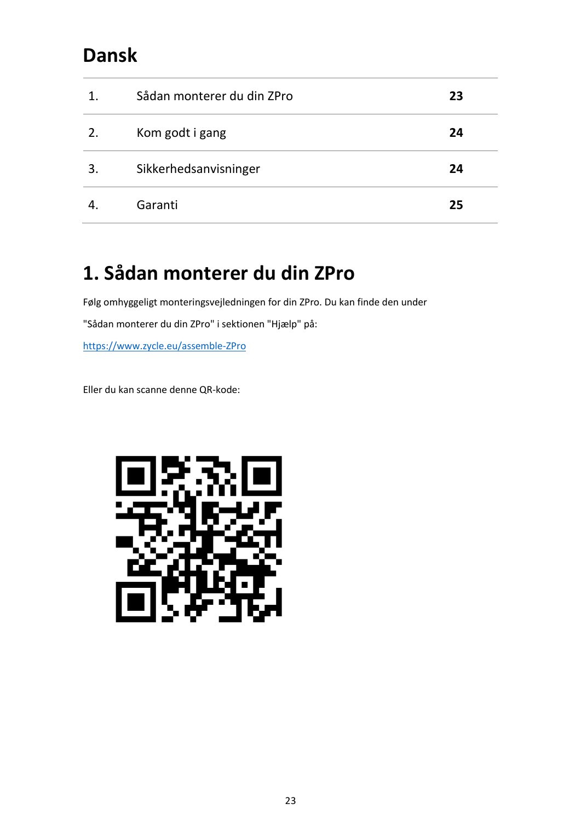### **Dansk**

| 1. | Sådan monterer du din ZPro | 23 |
|----|----------------------------|----|
| 2. | Kom godt i gang            | 24 |
| 3. | Sikkerhedsanvisninger      | 24 |
|    | Garanti                    | 25 |

### **1. Sådan monterer du din ZPro**

Følg omhyggeligt monteringsvejledningen for din ZPro. Du kan finde den under

"Sådan monterer du din ZPro" i sektionen "Hjælp" på:

[https://www.zycle.eu/assemble-ZPro](https://www.zycle.eu/assemble-zdrive)

Eller du kan scanne denne QR-kode:

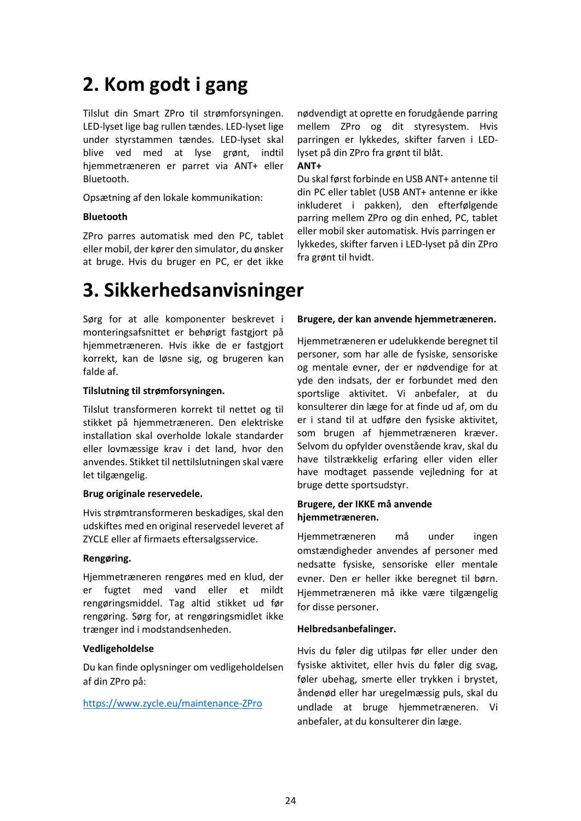### **2. Kom godt i gang**

Tilslut din Smart ZPro til strømforsyningen. LED-lyset lige bag rullen tændes. LED-lyset lige under styrstammen tændes. LED-lyset skal blive ved med at lyse grønt, indtil hjemmetræneren er parret via ANT+ eller Bluetooth.

Opsætning af den lokale kommunikation:

#### **Bluetooth**

ZPro parres automatisk med den PC, tablet eller mobil, der kører den simulator, du ønsker at bruge. Hvis du bruger en PC, er det ikke

### **3. Sikkerhedsanvisninger**

Sørg for at alle komponenter beskrevet i monteringsafsnittet er behørigt fastgjort på hjemmetræneren. Hvis ikke de er fastgjort korrekt, kan de løsne sig, og brugeren kan falde af.

#### **Tilslutning til strømforsyningen.**

Tilslut transformeren korrekt til nettet og til stikket på hjemmetræneren. Den elektriske installation skal overholde lokale standarder eller lovmæssige krav i det land, hvor den anvendes. Stikket til nettilslutningen skal være let tilgængelig.

#### **Brug originale reservedele.**

Hvis strømtransformeren beskadiges, skal den udskiftes med en original reservedel leveret af ZYCLE eller af firmaets eftersalgsservice.

#### **Rengøring.**

Hjemmetræneren rengøres med en klud, der er fugtet med vand eller et mildt rengøringsmiddel. Tag altid stikket ud før rengøring. Sørg for, at rengøringsmidlet ikke trænger ind i modstandsenheden.

### **Vedligeholdelse**

Du kan finde oplysninger om vedligeholdelsen af din ZPro på:

[https://www.zycle.eu/maintenance-ZPro](https://www.zycle.eu/maintenance-zdrive)

nødvendigt at oprette en forudgående parring mellem ZPro og dit styresystem. Hvis parringen er lykkedes, skifter farven i LEDlyset på din ZPro fra grønt til blåt.

**ANT+**

Du skal først forbinde en USB ANT+ antenne til din PC eller tablet (USB ANT+ antenne er ikke inkluderet i pakken), den efterfølgende parring mellem ZPro og din enhed, PC, tablet eller mobil sker automatisk. Hvis parringen er lykkedes, skifter farven i LED-lyset på din ZPro fra grønt til hvidt.

#### **Brugere, der kan anvende hjemmetræneren.**

Hjemmetræneren er udelukkende beregnet til personer, som har alle de fysiske, sensoriske og mentale evner, der er nødvendige for at yde den indsats, der er forbundet med den sportslige aktivitet. Vi anbefaler, at du konsulterer din læge for at finde ud af, om du er i stand til at udføre den fysiske aktivitet, som brugen af hjemmetræneren kræver. Selvom du opfylder ovenstående krav, skal du have tilstrækkelig erfaring eller viden eller have modtaget passende vejledning for at bruge dette sportsudstyr.

#### **Brugere, der IKKE må anvende hjemmetræneren.**

Hjemmetræneren må under ingen omstændigheder anvendes af personer med nedsatte fysiske, sensoriske eller mentale evner. Den er heller ikke beregnet til børn. Hjemmetræneren må ikke være tilgængelig for disse personer.

### **Helbredsanbefalinger.**

Hvis du føler dig utilpas før eller under den fysiske aktivitet, eller hvis du føler dig svag, føler ubehag, smerte eller trykken i brystet, åndenød eller har uregelmæssig puls, skal du undlade at bruge hjemmetræneren. Vi anbefaler, at du konsulterer din læge.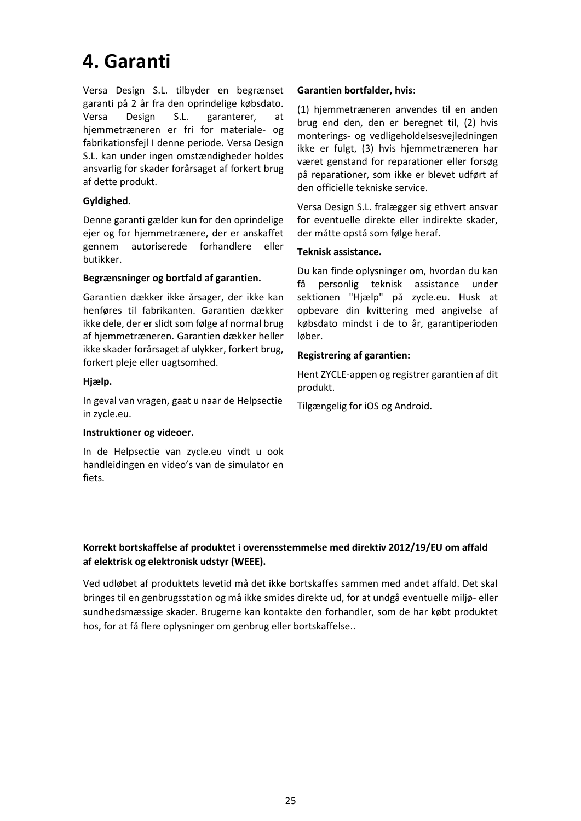### **4. Garanti**

Versa Design S.L. tilbyder en begrænset garanti på 2 år fra den oprindelige købsdato. Versa Design S.L. garanterer, at hjemmetræneren er fri for materiale- og fabrikationsfejl I denne periode. Versa Design S.L. kan under ingen omstændigheder holdes ansvarlig for skader forårsaget af forkert brug af dette produkt.

#### **Gyldighed.**

Denne garanti gælder kun for den oprindelige ejer og for hjemmetrænere, der er anskaffet gennem autoriserede forhandlere eller butikker.

#### **Begrænsninger og bortfald af garantien.**

Garantien dækker ikke årsager, der ikke kan henføres til fabrikanten. Garantien dækker ikke dele, der er slidt som følge af normal brug af hjemmetræneren. Garantien dækker heller ikke skader forårsaget af ulykker, forkert brug, forkert pleje eller uagtsomhed.

#### **Hjælp.**

In geval van vragen, gaat u naar de Helpsectie in zycle.eu.

#### **Instruktioner og videoer.**

In de Helpsectie van zycle.eu vindt u ook handleidingen en video's van de simulator en fiets.

#### **Garantien bortfalder, hvis:**

(1) hjemmetræneren anvendes til en anden brug end den, den er beregnet til, (2) hvis monterings- og vedligeholdelsesvejledningen ikke er fulgt, (3) hvis hjemmetræneren har været genstand for reparationer eller forsøg på reparationer, som ikke er blevet udført af den officielle tekniske service.

Versa Design S.L. fralægger sig ethvert ansvar for eventuelle direkte eller indirekte skader, der måtte opstå som følge heraf.

#### **Teknisk assistance.**

Du kan finde oplysninger om, hvordan du kan få personlig teknisk assistance under sektionen "Hjælp" på zycle.eu. Husk at opbevare din kvittering med angivelse af købsdato mindst i de to år, garantiperioden løber.

### **Registrering af garantien:**

Hent ZYCLE-appen og registrer garantien af dit produkt.

Tilgængelig for iOS og Android.

### **Korrekt bortskaffelse af produktet i overensstemmelse med direktiv 2012/19/EU om affald af elektrisk og elektronisk udstyr (WEEE).**

Ved udløbet af produktets levetid må det ikke bortskaffes sammen med andet affald. Det skal bringes til en genbrugsstation og må ikke smides direkte ud, for at undgå eventuelle miljø- eller sundhedsmæssige skader. Brugerne kan kontakte den forhandler, som de har købt produktet hos, for at få flere oplysninger om genbrug eller bortskaffelse..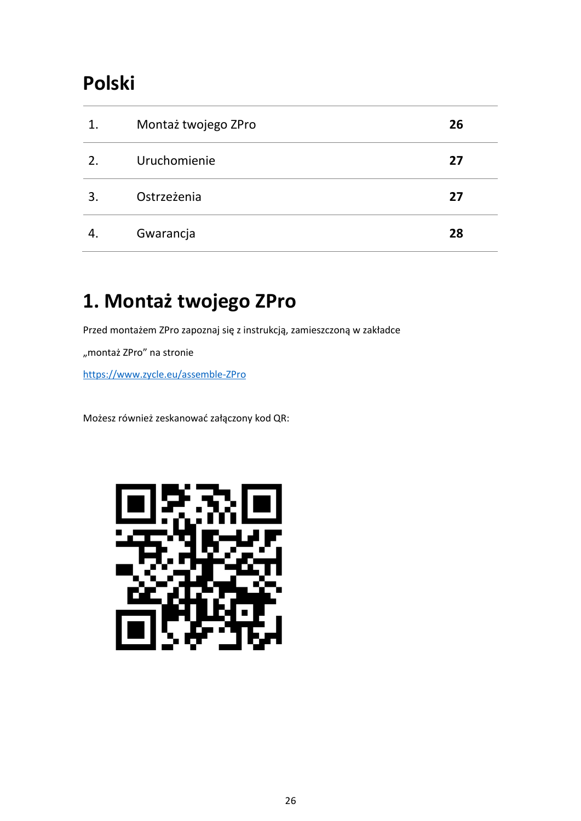### **Polski**

| 1. | Montaż twojego ZPro | 26 |
|----|---------------------|----|
| 2. | Uruchomienie        | 27 |
| 3  | Ostrzeżenia         | 27 |
| 4. | Gwarancja           | 28 |

# **1. Montaż twojego ZPro**

Przed montażem ZPro zapoznaj się z instrukcją, zamieszczoną w zakładce

"montaż ZPro" na stronie

[https://www.zycle.eu/assemble-ZPro](https://www.zycle.eu/assemble-zdrive)

Możesz również zeskanować załączony kod QR:

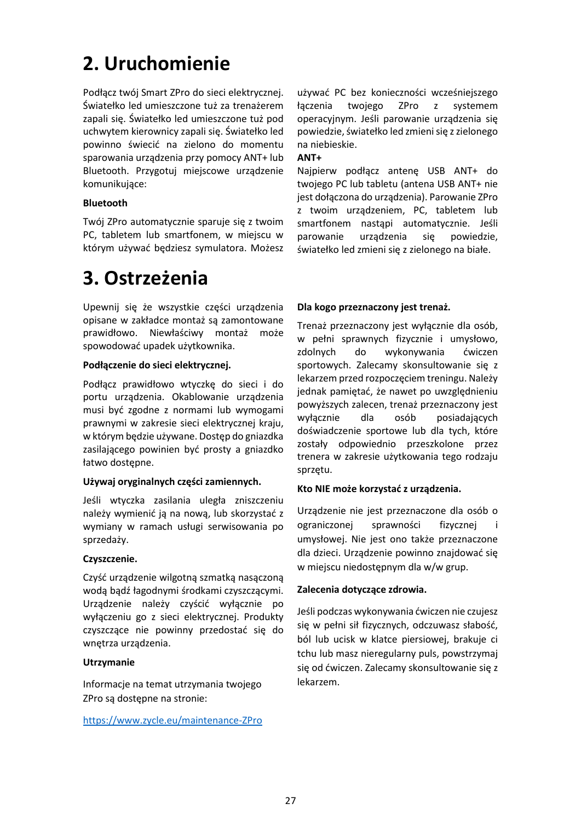### **2. Uruchomienie**

Podłącz twój Smart ZPro do sieci elektrycznej. Światełko led umieszczone tuż za trenażerem zapali się. Światełko led umieszczone tuż pod uchwytem kierownicy zapali się. Światełko led powinno świecić na zielono do momentu sparowania urządzenia przy pomocy ANT+ lub Bluetooth. Przygotuj miejscowe urządzenie komunikujące:

#### **Bluetooth**

Twój ZPro automatycznie sparuje się z twoim PC, tabletem lub smartfonem, w miejscu w którym używać będziesz symulatora. Możesz

### **3. Ostrzeżenia**

Upewnij się że wszystkie części urządzenia opisane w zakładce montaż są zamontowane prawidłowo. Niewłaściwy montaż może spowodować upadek użytkownika.

#### **Podłączenie do sieci elektrycznej.**

Podłącz prawidłowo wtyczkę do sieci i do portu urządzenia. Okablowanie urządzenia musi być zgodne z normami lub wymogami prawnymi w zakresie sieci elektrycznej kraju, w którym będzie używane. Dostęp do gniazdka zasilającego powinien być prosty a gniazdko łatwo dostępne.

#### **Używaj oryginalnych części zamiennych.**

Jeśli wtyczka zasilania uległa zniszczeniu należy wymienić ją na nową, lub skorzystać z wymiany w ramach usługi serwisowania po sprzedaży.

#### **Czyszczenie.**

Czyść urządzenie wilgotną szmatką nasączoną wodą bądź łagodnymi środkami czyszczącymi. Urządzenie należy czyścić wyłącznie po wyłączeniu go z sieci elektrycznej. Produkty czyszczące nie powinny przedostać się do wnętrza urządzenia.

### **Utrzymanie**

Informacje na temat utrzymania twojego ZPro są dostępne na stronie:

<https://www.zycle.eu/maintenance-ZPro>

używać PC bez konieczności wcześniejszego łączenia twojego ZPro z systemem operacyjnym. Jeśli parowanie urządzenia się powiedzie, światełko led zmieni się z zielonego na niebieskie.

#### **ANT+**

Najpierw podłącz antenę USB ANT+ do twojego PC lub tabletu (antena USB ANT+ nie jest dołączona do urządzenia). Parowanie ZPro z twoim urządzeniem, PC, tabletem lub smartfonem nastąpi automatycznie. Jeśli parowanie urządzenia się powiedzie, światełko led zmieni się z zielonego na białe.

#### **Dla kogo przeznaczony jest trenaż.**

Trenaż przeznaczony jest wyłącznie dla osób, w pełni sprawnych fizycznie i umysłowo, zdolnych do wykonywania ćwiczen sportowych. Zalecamy skonsultowanie się z lekarzem przed rozpoczęciem treningu. Należy jednak pamiętać, że nawet po uwzględnieniu powyższych zalecen, trenaż przeznaczony jest wyłącznie dla osób posiadających doświadczenie sportowe lub dla tych, które zostały odpowiednio przeszkolone przez trenera w zakresie użytkowania tego rodzaju sprzętu.

### **Kto NIE może korzystać z urządzenia.**

Urządzenie nie jest przeznaczone dla osób o ograniczonej sprawności fizycznej i umysłowej. Nie jest ono także przeznaczone dla dzieci. Urządzenie powinno znajdować się w miejscu niedostępnym dla w/w grup.

#### **Zalecenia dotyczące zdrowia.**

Jeśli podczas wykonywania ćwiczen nie czujesz się w pełni sił fizycznych, odczuwasz słabość, ból lub ucisk w klatce piersiowej, brakuje ci tchu lub masz nieregularny puls, powstrzymaj się od ćwiczen. Zalecamy skonsultowanie się z lekarzem.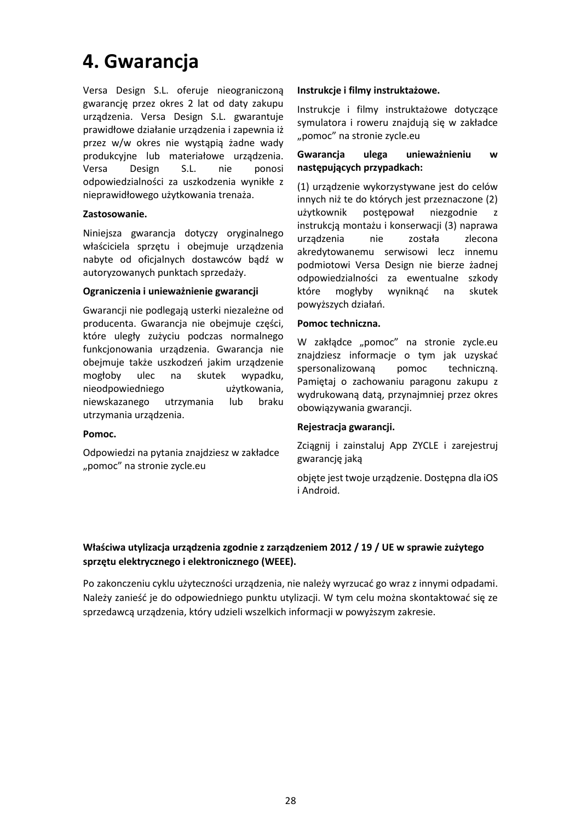### **4. Gwarancja**

Versa Design S.L. oferuje nieograniczoną gwarancję przez okres 2 lat od daty zakupu urządzenia. Versa Design S.L. gwarantuje prawidłowe działanie urządzenia i zapewnia iż przez w/w okres nie wystąpią żadne wady produkcyjne lub materiałowe urządzenia. Versa Design S.L. nie ponosi odpowiedzialności za uszkodzenia wynikłe z nieprawidłowego użytkowania trenaża.

#### **Zastosowanie.**

Niniejsza gwarancja dotyczy oryginalnego właściciela sprzętu i obejmuje urządzenia nabyte od oficjalnych dostawców bądź w autoryzowanych punktach sprzedaży.

#### **Ograniczenia i unieważnienie gwarancji**

Gwarancji nie podlegają usterki niezależne od producenta. Gwarancja nie obejmuje części, które uległy zużyciu podczas normalnego funkcjonowania urządzenia. Gwarancja nie obejmuje także uszkodzeń jakim urządzenie mogłoby ulec na skutek wypadku, nieodpowiedniego użytkowania, niewskazanego utrzymania lub braku utrzymania urządzenia.

#### **Pomoc.**

Odpowiedzi na pytania znajdziesz w zakładce "pomoc" na stronie zycle.eu

#### **Instrukcje i filmy instruktażowe.**

Instrukcje i filmy instruktażowe dotyczące symulatora i roweru znajdują się w zakładce "pomoc" na stronie zycle.eu

#### **Gwarancja ulega unieważnieniu w następujących przypadkach:**

(1) urządzenie wykorzystywane jest do celów innych niż te do których jest przeznaczone (2) użytkownik postępował niezgodnie z instrukcją montażu i konserwacji (3) naprawa urządzenia nie została zlecona akredytowanemu serwisowi lecz innemu podmiotowi Versa Design nie bierze żadnej odpowiedzialności za ewentualne szkody które mogłyby wyniknąć na skutek powyższych działań.

#### **Pomoc techniczna.**

W zakłądce "pomoc" na stronie zycle.eu znajdziesz informacje o tym jak uzyskać spersonalizowaną pomoc techniczną. Pamiętaj o zachowaniu paragonu zakupu z wydrukowaną datą, przynajmniej przez okres obowiązywania gwarancji.

#### **Rejestracja gwarancji.**

Zciągnij i zainstaluj App ZYCLE i zarejestruj gwarancję jaką

objęte jest twoje urządzenie. Dostępna dla iOS i Android.

### **Właściwa utylizacja urządzenia zgodnie z zarządzeniem 2012 / 19 / UE w sprawie zużytego sprzętu elektrycznego i elektronicznego (WEEE).**

Po zakonczeniu cyklu użyteczności urządzenia, nie należy wyrzucać go wraz z innymi odpadami. Należy zanieść je do odpowiedniego punktu utylizacji. W tym celu można skontaktować się ze sprzedawcą urządzenia, który udzieli wszelkich informacji w powyższym zakresie.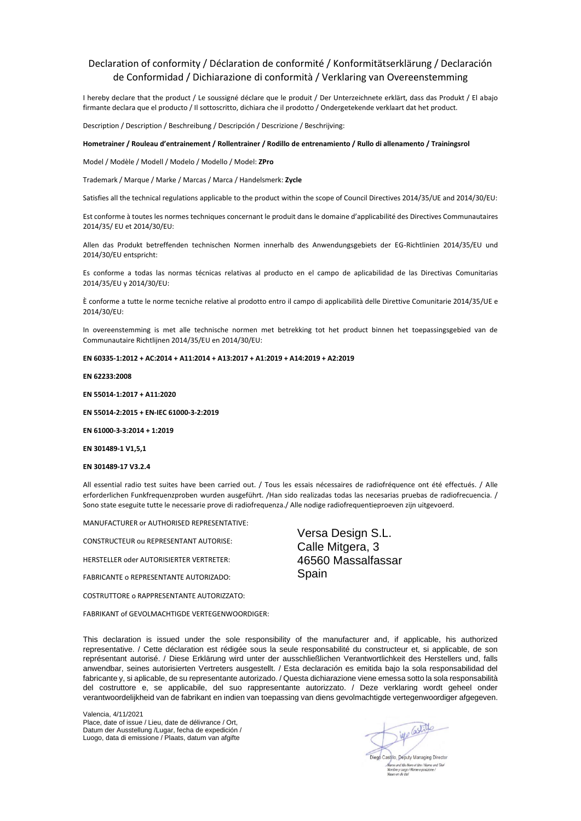#### Declaration of conformity / Déclaration de conformité / Konformitätserklärung / Declaración de Conformidad / Dichiarazione di conformità / Verklaring van Overeenstemming

I hereby declare that the product / Le soussigné déclare que le produit / Der Unterzeichnete erklärt, dass das Produkt / El abajo firmante declara que el producto / Il sottoscritto, dichiara che il prodotto / Ondergetekende verklaart dat het product.

Description / Description / Beschreibung / Descripción / Descrizione / Beschrijving:

#### **Hometrainer / Rouleau d'entrainement / Rollentrainer / Rodillo de entrenamiento / Rullo di allenamento / Trainingsrol**

Model / Modèle / Modell / Modelo / Modello / Model: **ZPro**

Trademark / Marque / Marke / Marcas / Marca / Handelsmerk: **Zycle**

Satisfies all the technical regulations applicable to the product within the scope of Council Directives 2014/35/UE and 2014/30/EU:

Est conforme à toutes les normes techniques concernant le produit dans le domaine d'applicabilité des Directives Communautaires 2014/35/ EU et 2014/30/EU:

Allen das Produkt betreffenden technischen Normen innerhalb des Anwendungsgebiets der EG-Richtlinien 2014/35/EU und 2014/30/EU entspricht:

Es conforme a todas las normas técnicas relativas al producto en el campo de aplicabilidad de las Directivas Comunitarias 2014/35/EU y 2014/30/EU:

È conforme a tutte le norme tecniche relative al prodotto entro il campo di applicabilità delle Direttive Comunitarie 2014/35/UE e 2014/30/EU:

In overeenstemming is met alle technische normen met betrekking tot het product binnen het toepassingsgebied van de Communautaire Richtlijnen 2014/35/EU en 2014/30/EU:

#### **EN 60335-1:2012 + AC:2014 + A11:2014 + A13:2017 + A1:2019 + A14:2019 + A2:2019**

#### **EN 62233:2008**

**EN 55014-1:2017 + A11:2020**

**EN 55014-2:2015 + EN-IEC 61000-3-2:2019**

**EN 61000-3-3:2014 + 1:2019**

**EN 301489-1 V1,5,1**

#### **EN 301489-17 V3.2.4**

All essential radio test suites have been carried out. / Tous les essais nécessaires de radiofréquence ont été effectués. / Alle erforderlichen Funkfrequenzproben wurden ausgeführt. /Han sido realizadas todas las necesarias pruebas de radiofrecuencia. / Sono state eseguite tutte le necessarie prove di radiofrequenza./ Alle nodige radiofrequentieproeven zijn uitgevoerd.

MANUFACTURER or AUTHORISED REPRESENTATIVE:

CONSTRUCTEUR ou REPRESENTANT AUTORISE:

HERSTELLER oder AUTORISIERTER VERTRETER:

FABRICANTE o REPRESENTANTE AUTORIZADO:

COSTRUTTORE o RAPPRESENTANTE AUTORIZZATO:

FABRIKANT of GEVOLMACHTIGDE VERTEGENWOORDIGER:

Versa Design S.L. Calle Mitgera, 3 46560 Massalfassar Spain

This declaration is issued under the sole responsibility of the manufacturer and, if applicable, his authorized representative. / Cette déclaration est rédigée sous la seule responsabilité du constructeur et, si applicable, de son représentant autorisé. / Diese Erklärung wird unter der ausschließlichen Verantwortlichkeit des Herstellers und, falls anwendbar, seines autorisierten Vertreters ausgestellt. / Esta declaración es emitida bajo la sola responsabilidad del fabricante y, si aplicable, de su representante autorizado. / Questa dichiarazione viene emessa sotto la sola responsabilità del costruttore e, se applicabile, del suo rappresentante autorizzato. / Deze verklaring wordt geheel onder verantwoordelijkheid van de fabrikant en indien van toepassing van diens gevolmachtigde vertegenwoordiger afgegeven.

Valencia, 4/11/2021 Place, date of issue / Lieu, date de délivrance / Ort, Datum der Ausstellung /Lugar, fecha de expedición / Luogo, data di emissione / Plaats, datum van afgifte

iye Castille Castillo, Deputy Managing Director e and title Nom et titre / Name und Titel me e posizio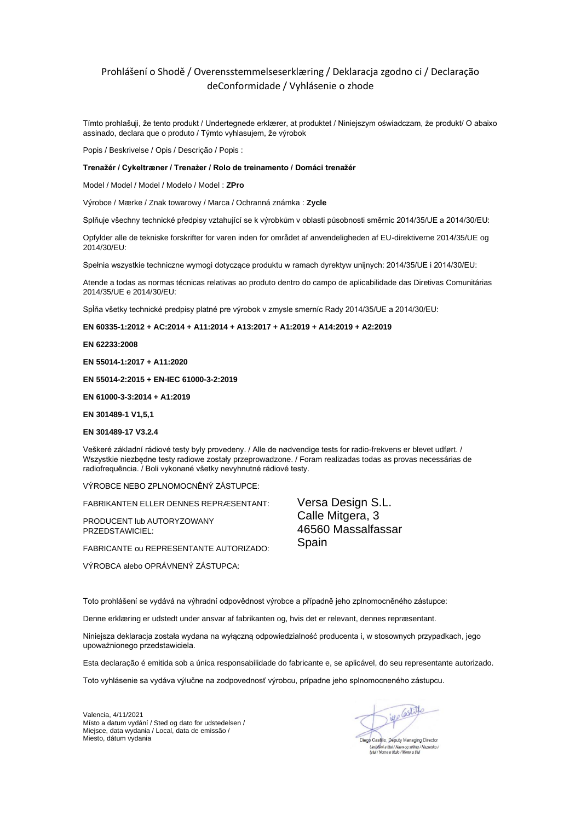#### Prohlášení o Shodě / Overensstemmelseserklæring / Deklaracja zgodno ci / Declaração deConformidade / Vyhlásenie o zhode

Tímto prohlašuji, že tento produkt / Undertegnede erklærer, at produktet / Niniejszym oświadczam, że produkt/ O abaixo assinado, declara que o produto / Týmto vyhlasujem, že výrobok

Popis / Beskrivelse / Opis / Descrição / Popis :

#### **Trenažér / Cykeltræner / Trenażer / Rolo de treinamento / Domáci trenažér**

Model / Model / Model / Modelo / Model : **ZPro**

Výrobce / Mærke / Znak towarowy / Marca / Ochranná známka : **Zycle**

Splňuje všechny technické předpisy vztahující se k výrobkům v oblasti působnosti směrnic 2014/35/UE a 2014/30/EU:

Opfylder alle de tekniske forskrifter for varen inden for området af anvendeligheden af EU-direktiverne 2014/35/UE og 2014/30/EU:

Spełnia wszystkie techniczne wymogi dotyczące produktu w ramach dyrektyw unijnych: 2014/35/UE i 2014/30/EU:

Atende a todas as normas técnicas relativas ao produto dentro do campo de aplicabilidade das Diretivas Comunitárias 2014/35/UE e 2014/30/EU:

Spĺňa všetky technické predpisy platné pre výrobok v zmysle smerníc Rady 2014/35/UE a 2014/30/EU:

#### **EN 60335-1:2012 + AC:2014 + A11:2014 + A13:2017 + A1:2019 + A14:2019 + A2:2019**

**EN 62233:2008**

**EN 55014-1:2017 + A11:2020**

**EN 55014-2:2015 + EN-IEC 61000-3-2:2019**

**EN 61000-3-3:2014 + A1:2019**

**EN 301489-1 V1,5,1**

#### **EN 301489-17 V3.2.4**

Veškeré základní rádiové testy byly provedeny. / Alle de nødvendige tests for radio-frekvens er blevet udført. / Wszystkie niezbędne testy radiowe zostały przeprowadzone. / Foram realizadas todas as provas necessárias de radiofrequência. / Boli vykonané všetky nevyhnutné rádiové testy.

VÝROBCE NEBO ZPLNOMOCNĚNÝ ZÁSTUPCE:

FABRIKANTEN ELLER DENNES REPRÆSENTANT:

PRODUCENT lub AUTORYZOWANY PRZEDSTAWICIEL:

FABRICANTE ou REPRESENTANTE AUTORIZADO:

VÝROBCA alebo OPRÁVNENÝ ZÁSTUPCA:

Versa Design S.L. Calle Mitgera, 3 46560 Massalfassar Spain

Toto prohlášení se vydává na výhradní odpovědnost výrobce a případně jeho zplnomocněného zástupce:

Denne erklæring er udstedt under ansvar af fabrikanten og, hvis det er relevant, dennes repræsentant.

Niniejsza deklaracja została wydana na wyłączną odpowiedzialność producenta i, w stosownych przypadkach, jego upoważnionego przedstawiciela.

Esta declaração é emitida sob a única responsabilidade do fabricante e, se aplicável, do seu representante autorizado.

Toto vyhlásenie sa vydáva výlučne na zodpovednosť výrobcu, prípadne jeho splnomocneného zástupcu.

Valencia, 4/11/2021 Místo a datum vydání / Sted og dato for udstedelsen / Miejsce, data wydania / Local, data de emissão / Miesto, dátum vydania

iye Castille Diego Castillo, Deputy Managing Director

Umistêni a titul / Navn og stilling /<br>tytul / Nome e titulo / Meno a titul